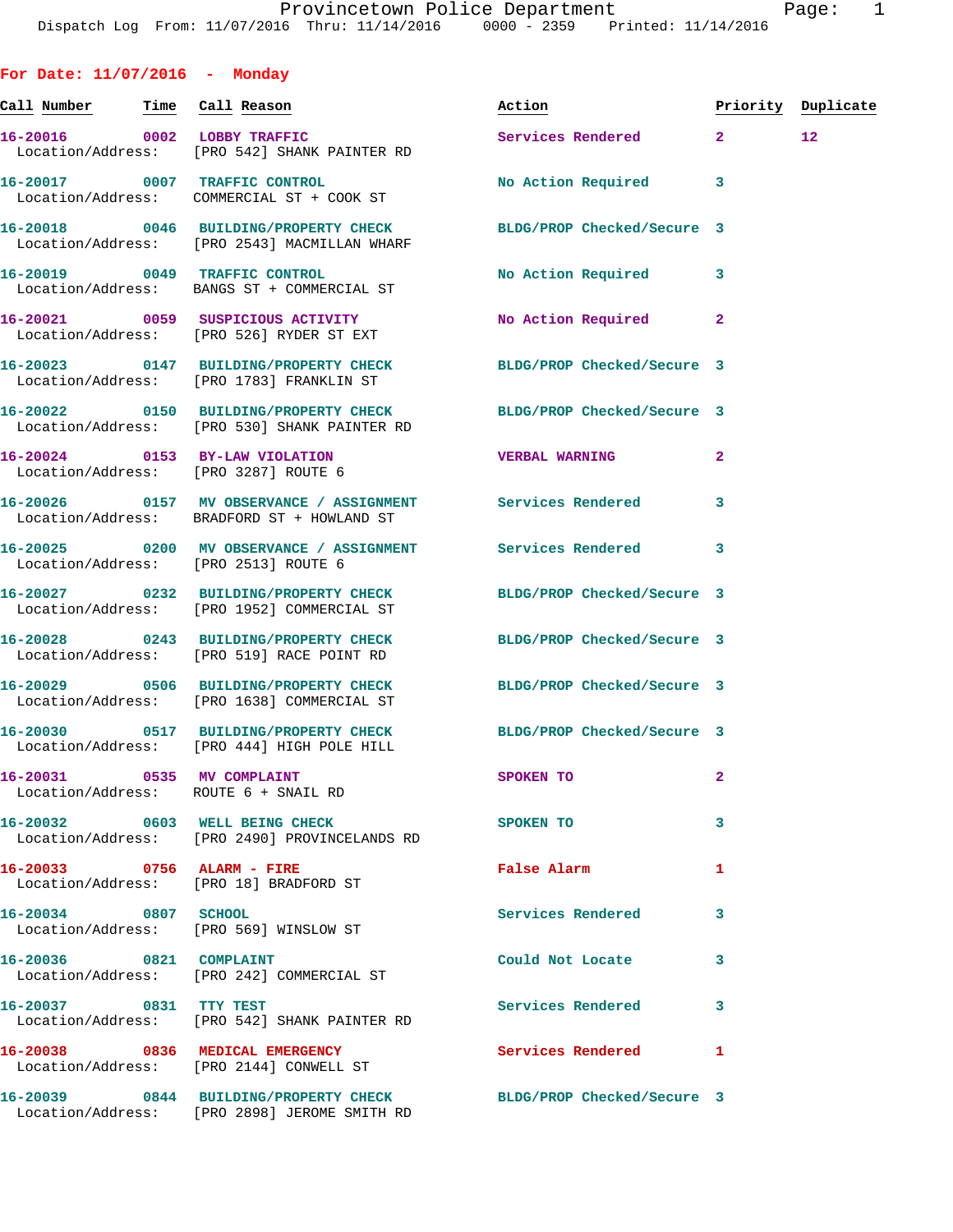**For Date: 11/07/2016 - Monday Call Number Time Call Reason Action Priority Duplicate 16-20016 0002 LOBBY TRAFFIC Services Rendered 2 12**  Location/Address: [PRO 542] SHANK PAINTER RD **16-20017 0007 TRAFFIC CONTROL No Action Required 3**  Location/Address: COMMERCIAL ST + COOK ST **16-20018 0046 BUILDING/PROPERTY CHECK BLDG/PROP Checked/Secure 3**  Location/Address: [PRO 2543] MACMILLAN WHARF **16-20019 0049 TRAFFIC CONTROL No Action Required 3**  Location/Address: BANGS ST + COMMERCIAL ST **16-20021 0059 SUSPICIOUS ACTIVITY No Action Required 2**  Location/Address: [PRO 526] RYDER ST EXT **16-20023 0147 BUILDING/PROPERTY CHECK BLDG/PROP Checked/Secure 3**  Location/Address: [PRO 1783] FRANKLIN ST **16-20022 0150 BUILDING/PROPERTY CHECK BLDG/PROP Checked/Secure 3**  Location/Address: [PRO 530] SHANK PAINTER RD **16-20024 0153 BY-LAW VIOLATION VERBAL WARNING 2**  Location/Address: [PRO 3287] ROUTE 6 **16-20026 0157 MV OBSERVANCE / ASSIGNMENT Services Rendered 3**  Location/Address: BRADFORD ST + HOWLAND ST **16-20025 0200 MV OBSERVANCE / ASSIGNMENT Services Rendered 3**  Location/Address: [PRO 2513] ROUTE 6 **16-20027 0232 BUILDING/PROPERTY CHECK BLDG/PROP Checked/Secure 3**  Location/Address: [PRO 1952] COMMERCIAL ST **16-20028 0243 BUILDING/PROPERTY CHECK BLDG/PROP Checked/Secure 3**  Location/Address: [PRO 519] RACE POINT RD **16-20029 0506 BUILDING/PROPERTY CHECK BLDG/PROP Checked/Secure 3**  Location/Address: [PRO 1638] COMMERCIAL ST **16-20030 0517 BUILDING/PROPERTY CHECK BLDG/PROP Checked/Secure 3**  Location/Address: [PRO 444] HIGH POLE HILL **16-20031 0535 MV COMPLAINT SPOKEN TO 2**  Location/Address: ROUTE 6 + SNAIL RD **16-20032 0603 WELL BEING CHECK SPOKEN TO 3**  Location/Address: [PRO 2490] PROVINCELANDS RD **16-20033 0756 ALARM - FIRE False Alarm 1**  Location/Address: [PRO 18] BRADFORD ST **16-20034 0807 SCHOOL Services Rendered 3**  Location/Address: [PRO 569] WINSLOW ST **16-20036 0821 COMPLAINT Could Not Locate 3**  Location/Address: [PRO 242] COMMERCIAL ST **16-20037 0831 TTY TEST Services Rendered 3**  Location/Address: [PRO 542] SHANK PAINTER RD 16-20038 0836 MEDICAL EMERGENCY Services Rendered 1

Location/Address: [PRO 2144] CONWELL ST

Location/Address: [PRO 2898] JEROME SMITH RD

**16-20039 0844 BUILDING/PROPERTY CHECK BLDG/PROP Checked/Secure 3**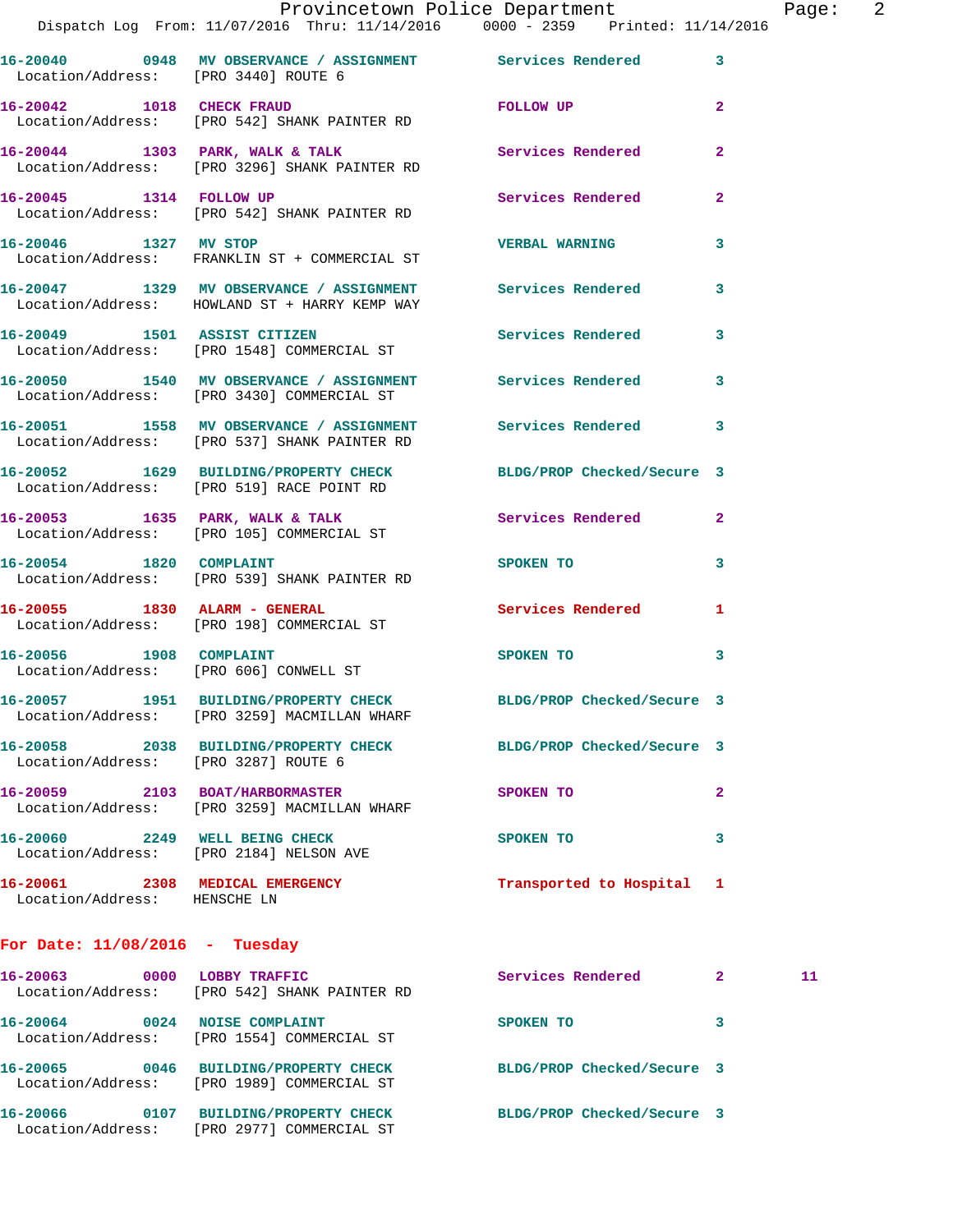| Provincetown Police Department |  |  |  | Page:                                                                   |  |  |  |  |
|--------------------------------|--|--|--|-------------------------------------------------------------------------|--|--|--|--|
|                                |  |  |  | og From: 11/07/2016 Thru: 11/14/2016   0000 - 2359  Printed: 11/14/2016 |  |  |  |  |

Dispatch Lo **16-20040 0948 MV OBSERVANCE / ASSIGNMENT Services Rendered 3**  Location/Address: [PRO 3440] ROUTE 6 **16-20042 1018 CHECK FRAUD FOLLOW UP 2**  Location/Address: [PRO 542] SHANK PAINTER RD **16-20044 1303 PARK, WALK & TALK Services Rendered 2**  Location/Address: [PRO 3296] SHANK PAINTER RD **16-20045 1314 FOLLOW UP Services Rendered 2**  Location/Address: [PRO 542] SHANK PAINTER RD **16-20046 1327 MV STOP VERBAL WARNING 3**  Location/Address: FRANKLIN ST + COMMERCIAL ST **16-20047 1329 MV OBSERVANCE / ASSIGNMENT Services Rendered 3**  Location/Address: HOWLAND ST + HARRY KEMP WAY **16-20049 1501 ASSIST CITIZEN Services Rendered 3**  Location/Address: [PRO 1548] COMMERCIAL ST **16-20050 1540 MV OBSERVANCE / ASSIGNMENT Services Rendered 3**  Location/Address: [PRO 3430] COMMERCIAL ST **16-20051 1558 MV OBSERVANCE / ASSIGNMENT Services Rendered 3**  Location/Address: [PRO 537] SHANK PAINTER RD **16-20052 1629 BUILDING/PROPERTY CHECK BLDG/PROP Checked/Secure 3**  Location/Address: [PRO 519] RACE POINT RD 16-20053 1635 PARK, WALK & TALK 3 Services Rendered 2 Location/Address: [PRO 105] COMMERCIAL ST **16-20054 1820 COMPLAINT SPOKEN TO 3**  Location/Address: [PRO 539] SHANK PAINTER RD **16-20055 1830 ALARM - GENERAL Services Rendered 1**  Location/Address: [PRO 198] COMMERCIAL ST **16-20056 1908 COMPLAINT SPOKEN TO 3**  Location/Address: [PRO 606] CONWELL ST **16-20057 1951 BUILDING/PROPERTY CHECK BLDG/PROP Checked/Secure 3**  Location/Address: [PRO 3259] MACMILLAN WHARF **16-20058 2038 BUILDING/PROPERTY CHECK BLDG/PROP Checked/Secure 3**  Location/Address: [PRO 3287] ROUTE 6 **16-20059 2103 BOAT/HARBORMASTER SPOKEN TO 2**  Location/Address: [PRO 3259] MACMILLAN WHARF **16-20060 2249 WELL BEING CHECK SPOKEN TO 3**  Location/Address: [PRO 2184] NELSON AVE **16-20061 2308 MEDICAL EMERGENCY Transported to Hospital 1**  Location/Address: HENSCHE LN **For Date: 11/08/2016 - Tuesday 16-20063 0000 LOBBY TRAFFIC Services Rendered 2 11**  Location/Address: [PRO 542] SHANK PAINTER RD

 Location/Address: [PRO 1554] COMMERCIAL ST **16-20065 0046 BUILDING/PROPERTY CHECK BLDG/PROP Checked/Secure 3**  Location/Address: [PRO 1989] COMMERCIAL ST **16-20066 0107 BUILDING/PROPERTY CHECK BLDG/PROP Checked/Secure 3** 

**16-20064 0024 NOISE COMPLAINT SPOKEN TO 3** 

Location/Address: [PRO 2977] COMMERCIAL ST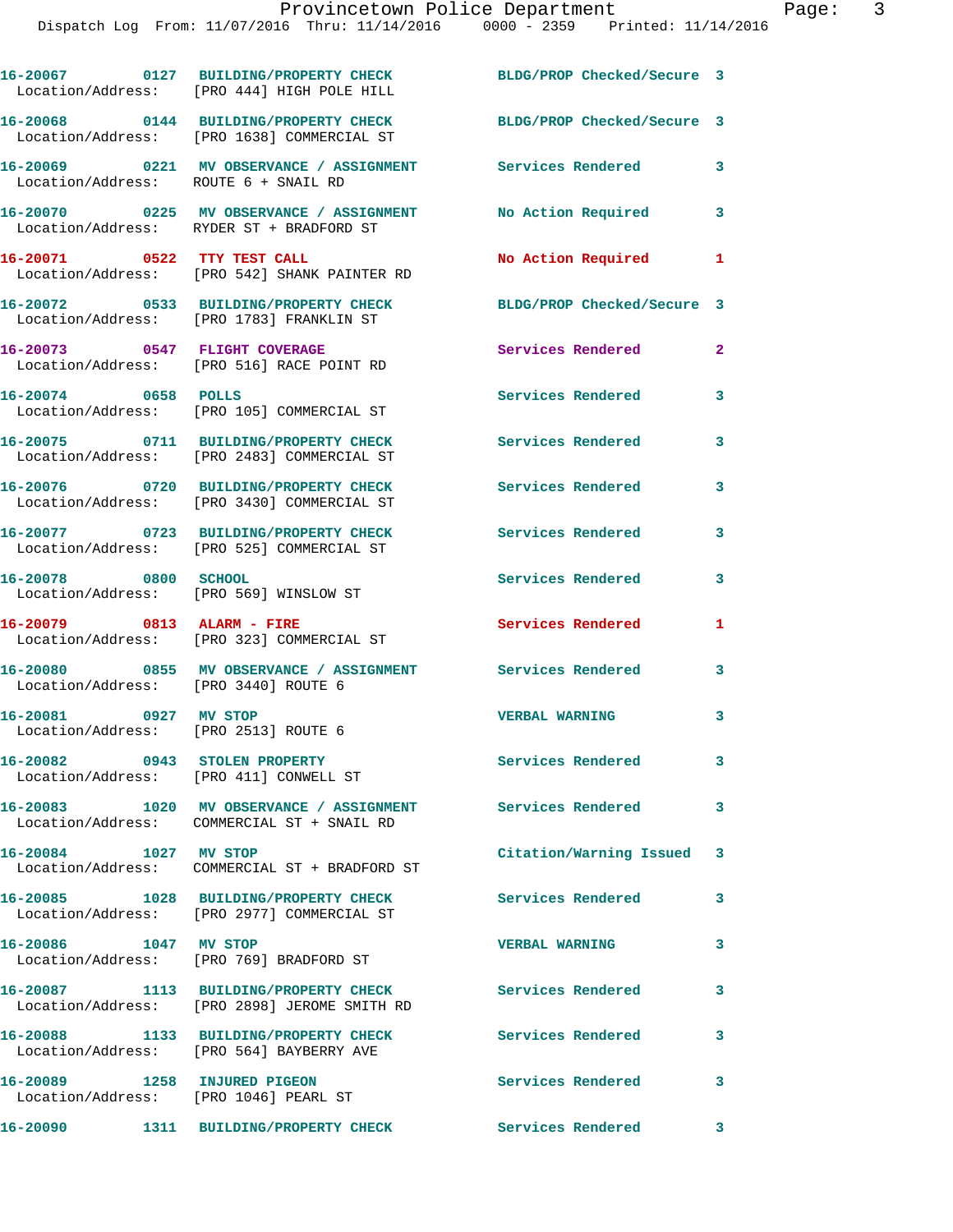Provincetown Police Department Page: 3 Dispatch Log From: 11/07/2016 Thru: 11/14/2016 0000 - 2359 Printed: 11/14/2016 **16-20067 0127 BUILDING/PROPERTY CHECK BLDG/PROP Checked/Secure 3**  Location/Address: [PRO 444] HIGH POLE HILL **16-20068 0144 BUILDING/PROPERTY CHECK BLDG/PROP Checked/Secure 3**  Location/Address: [PRO 1638] COMMERCIAL ST **16-20069 0221 MV OBSERVANCE / ASSIGNMENT Services Rendered 3**  Location/Address: ROUTE 6 + SNAIL RD **16-20070 0225 MV OBSERVANCE / ASSIGNMENT No Action Required 3**  Location/Address: RYDER ST + BRADFORD ST **16-20071 0522 TTY TEST CALL No Action Required 1**  Location/Address: [PRO 542] SHANK PAINTER RD **16-20072 0533 BUILDING/PROPERTY CHECK BLDG/PROP Checked/Secure 3**  Location/Address: [PRO 1783] FRANKLIN ST **16-20073 0547 FLIGHT COVERAGE Services Rendered 2**  Location/Address: [PRO 516] RACE POINT RD **16-20074 0658 POLLS Services Rendered 3**  Location/Address: [PRO 105] COMMERCIAL ST **16-20075 0711 BUILDING/PROPERTY CHECK Services Rendered 3**  Location/Address: [PRO 2483] COMMERCIAL ST **16-20076 0720 BUILDING/PROPERTY CHECK Services Rendered 3**  Location/Address: [PRO 3430] COMMERCIAL ST **16-20077 0723 BUILDING/PROPERTY CHECK Services Rendered 3**  Location/Address: [PRO 525] COMMERCIAL ST **16-20078 0800 SCHOOL Services Rendered 3**  Location/Address: [PRO 569] WINSLOW ST **16-20079 0813 ALARM - FIRE Services Rendered 1**  Location/Address: [PRO 323] COMMERCIAL ST

**16-20081 0927 MV STOP VERBAL WARNING 3** 

**16-20082 0943 STOLEN PROPERTY Services Rendered 3** 

**16-20083 1020 MV OBSERVANCE / ASSIGNMENT Services Rendered 3** 

Location/Address: COMMERCIAL ST + BRADFORD ST

Location/Address: [PRO 2977] COMMERCIAL ST

**16-20086 1047 MV STOP VERBAL WARNING 3** 

**16-20087 1113 BUILDING/PROPERTY CHECK Services Rendered 3**  Location/Address: [PRO 2898] JEROME SMITH RD

**16-20088 1133 BUILDING/PROPERTY CHECK Services Rendered 3** 

**16-20089 1258 INJURED PIGEON Services Rendered 3** 

Location/Address: [PRO 1046] PEARL ST

Location/Address: [PRO 564] BAYBERRY AVE

**16-20090 1311 BUILDING/PROPERTY CHECK Services Rendered 3** 

**16-20080 0855 MV OBSERVANCE / ASSIGNMENT Services Rendered 3**  Location/Address: [PRO 3440] ROUTE 6

Location/Address: [PRO 2513] ROUTE 6

Location/Address: [PRO 411] CONWELL ST

Location/Address: COMMERCIAL ST + SNAIL RD

**16-20084 1027 MV STOP Citation/Warning Issued 3** 

**16-20085 1028 BUILDING/PROPERTY CHECK Services Rendered 3** 

Location/Address: [PRO 769] BRADFORD ST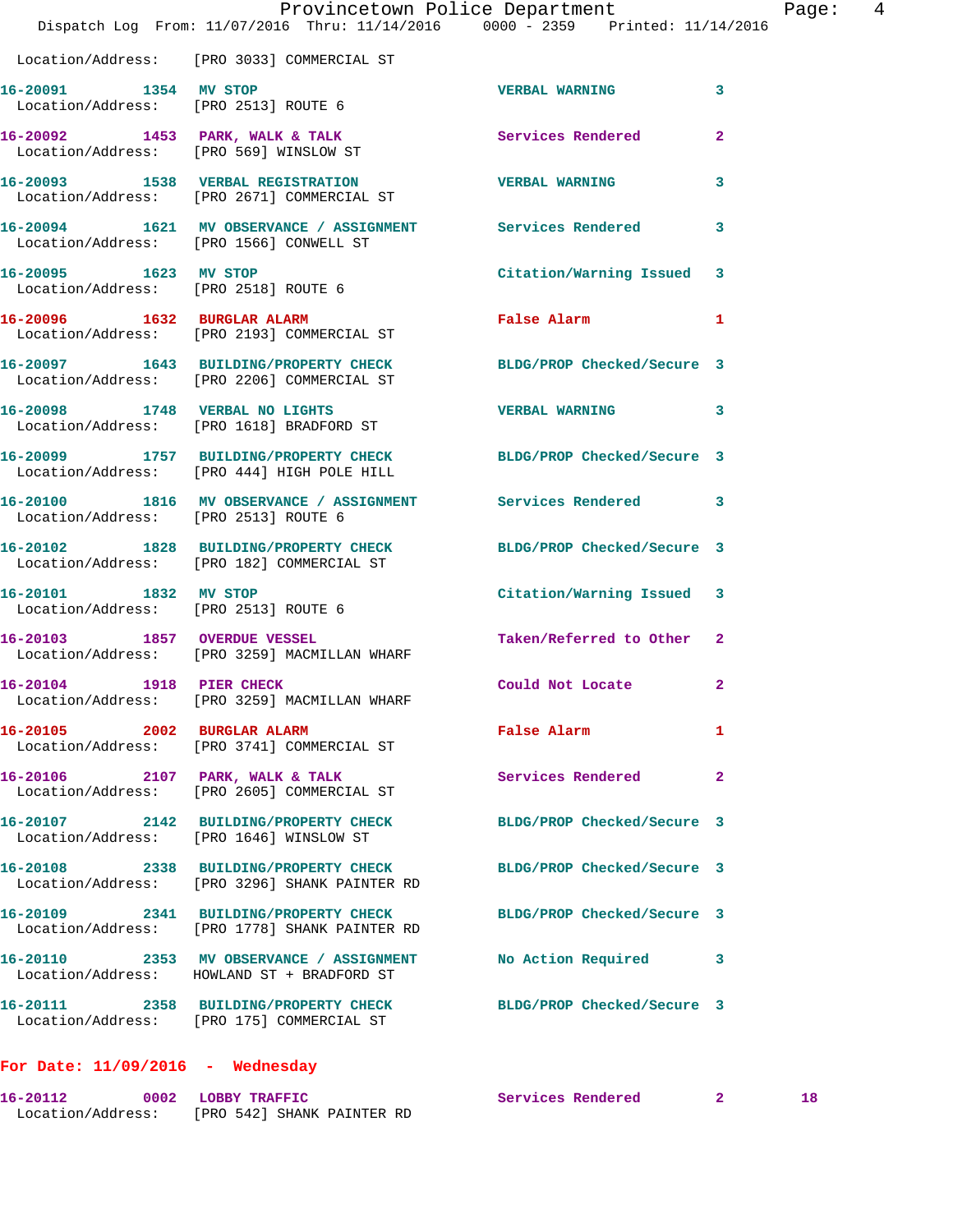|                                      | Provincetown Police Department<br>Dispatch Log From: 11/07/2016 Thru: 11/14/2016 0000 - 2359 Printed: 11/14/2016    |                            | $\overline{4}$<br>Page: |
|--------------------------------------|---------------------------------------------------------------------------------------------------------------------|----------------------------|-------------------------|
|                                      | Location/Address: [PRO 3033] COMMERCIAL ST                                                                          |                            |                         |
|                                      | 16-20091 1354 MV STOP<br>Location/Address: [PRO 2513] ROUTE 6                                                       | VERBAL WARNING 3           |                         |
|                                      | 16-20092 1453 PARK, WALK & TALK<br>Location/Address: [PRO 569] WINSLOW ST                                           | Services Rendered          | $\overline{2}$          |
|                                      | 16-20093 1538 VERBAL REGISTRATION TERBAL WARNING<br>Location/Address: [PRO 2671] COMMERCIAL ST                      |                            | 3                       |
|                                      | 16-20094 1621 MV OBSERVANCE / ASSIGNMENT Services Rendered 3<br>Location/Address: [PRO 1566] CONWELL ST             |                            |                         |
|                                      | 16-20095 1623 MV STOP<br>Location/Address: [PRO 2518] ROUTE 6                                                       | Citation/Warning Issued 3  |                         |
|                                      | 16-20096 1632 BURGLAR ALARM<br>Location/Address: [PRO 2193] COMMERCIAL ST                                           | False Alarm 1              |                         |
|                                      | 16-20097 1643 BUILDING/PROPERTY CHECK BLDG/PROP Checked/Secure 3<br>Location/Address: [PRO 2206] COMMERCIAL ST      |                            |                         |
|                                      | 16-20098 1748 VERBAL NO LIGHTS<br>Location/Address: [PRO 1618] BRADFORD ST                                          | VERBAL WARNING 3           |                         |
|                                      | 16-20099 1757 BUILDING/PROPERTY CHECK BLDG/PROP Checked/Secure 3<br>Location/Address: [PRO 444] HIGH POLE HILL      |                            |                         |
| Location/Address: [PRO 2513] ROUTE 6 | 16-20100 1816 MV OBSERVANCE / ASSIGNMENT Services Rendered 3                                                        |                            |                         |
|                                      | 16-20102   1828   BUILDING/PROPERTY CHECK   BLDG/PROP Checked/Secure 3<br>Location/Address: [PRO 182] COMMERCIAL ST |                            |                         |
| 16-20101 1832 MV STOP                | Location/Address: [PRO 2513] ROUTE 6                                                                                | Citation/Warning Issued 3  |                         |
|                                      | 16-20103 1857 OVERDUE VESSEL<br>Location/Address: [PRO 3259] MACMILLAN WHARF                                        | Taken/Referred to Other 2  |                         |
| 16-20104 1918 PIER CHECK             | Location/Address: [PRO 3259] MACMILLAN WHARF                                                                        | Could Not Locate 2         |                         |
| 16-20105 2002 BURGLAR ALARM          | Location/Address: [PRO 3741] COMMERCIAL ST                                                                          | False Alarm                | $\mathbf{1}$            |
|                                      | 16-20106 2107 PARK, WALK & TALK<br>Location/Address: [PRO 2605] COMMERCIAL ST                                       | <b>Services Rendered</b>   | $\overline{2}$          |
|                                      | 16-20107 2142 BUILDING/PROPERTY CHECK BLDG/PROP Checked/Secure 3<br>Location/Address: [PRO 1646] WINSLOW ST         |                            |                         |
|                                      | 16-20108 2338 BUILDING/PROPERTY CHECK<br>Location/Address: [PRO 3296] SHANK PAINTER RD                              | BLDG/PROP Checked/Secure 3 |                         |
|                                      | 16-20109 2341 BUILDING/PROPERTY CHECK<br>Location/Address: [PRO 1778] SHANK PAINTER RD                              | BLDG/PROP Checked/Secure 3 |                         |
|                                      | 16-20110 2353 MV OBSERVANCE / ASSIGNMENT<br>Location/Address: HOWLAND ST + BRADFORD ST                              | No Action Required 3       |                         |
|                                      | 16-20111 2358 BUILDING/PROPERTY CHECK BLDG/PROP Checked/Secure 3<br>Location/Address: [PRO 175] COMMERCIAL ST       |                            |                         |
| For Date: $11/09/2016$ - Wednesday   |                                                                                                                     |                            |                         |

**16-20112 0002 LOBBY TRAFFIC Services Rendered 2 18**  Location/Address: [PRO 542] SHANK PAINTER RD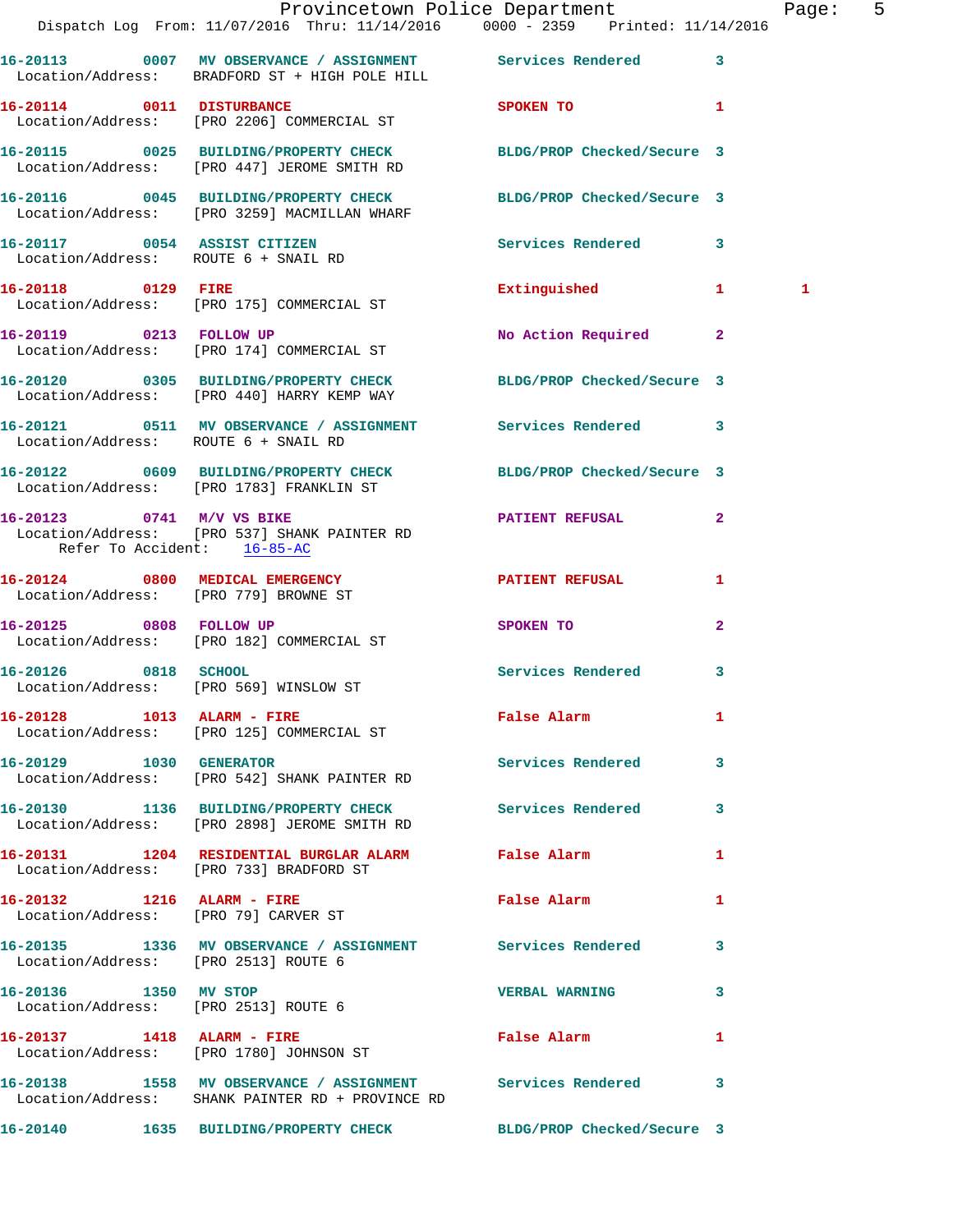|                                                          | Dispatch Log From: 11/07/2016 Thru: 11/14/2016 0000 - 2359 Printed: 11/14/2016                                   | Provincetown Police Department |                | Page: 5 |  |
|----------------------------------------------------------|------------------------------------------------------------------------------------------------------------------|--------------------------------|----------------|---------|--|
|                                                          | 16-20113 0007 MV OBSERVANCE / ASSIGNMENT Services Rendered 3<br>Location/Address: BRADFORD ST + HIGH POLE HILL   |                                |                |         |  |
| 16-20114 0011 DISTURBANCE                                | Location/Address: [PRO 2206] COMMERCIAL ST                                                                       | SPOKEN TO <b>1</b>             |                |         |  |
|                                                          | 16-20115 0025 BUILDING/PROPERTY CHECK BLDG/PROP Checked/Secure 3<br>Location/Address: [PRO 447] JEROME SMITH RD  |                                |                |         |  |
|                                                          | 16-20116 0045 BUILDING/PROPERTY CHECK BLDG/PROP Checked/Secure 3<br>Location/Address: [PRO 3259] MACMILLAN WHARF |                                |                |         |  |
|                                                          | 16-20117 0054 ASSIST CITIZEN<br>Location/Address: ROUTE 6 + SNAIL RD                                             | Services Rendered 3            |                |         |  |
|                                                          | 16-20118 0129 FIRE<br>Location/Address: [PRO 175] COMMERCIAL ST                                                  | Extinguished 1                 |                | 1       |  |
|                                                          | 16-20119 0213 FOLLOW UP<br>Location/Address: [PRO 174] COMMERCIAL ST                                             | No Action Required 2           |                |         |  |
|                                                          | 16-20120 0305 BUILDING/PROPERTY CHECK BLDG/PROP Checked/Secure 3<br>Location/Address: [PRO 440] HARRY KEMP WAY   |                                |                |         |  |
| Location/Address: ROUTE 6 + SNAIL RD                     | 16-20121 0511 MV OBSERVANCE / ASSIGNMENT Services Rendered 3                                                     |                                |                |         |  |
|                                                          | 16-20122 0609 BUILDING/PROPERTY CHECK BLDG/PROP Checked/Secure 3<br>Location/Address: [PRO 1783] FRANKLIN ST     |                                |                |         |  |
| 16-20123 0741 M/V VS BIKE<br>Refer To Accident: 16-85-AC | Location/Address: [PRO 537] SHANK PAINTER RD                                                                     | <b>PATIENT REFUSAL 2</b>       |                |         |  |
| Location/Address: [PRO 779] BROWNE ST                    | 16-20124 0800 MEDICAL EMERGENCY                                                                                  | PATIENT REFUSAL                | 1              |         |  |
|                                                          | 16-20125 0808 FOLLOW UP<br>Location/Address: [PRO 182] COMMERCIAL ST                                             | SPOKEN TO                      | $\overline{2}$ |         |  |
|                                                          | 16-20126 0818 SCHOOL<br>Location/Address: [PRO 569] WINSLOW ST                                                   | Services Rendered 3            |                |         |  |
|                                                          | 16-20128 1013 ALARM - FIRE<br>Location/Address: [PRO 125] COMMERCIAL ST                                          | <b>False Alarm</b>             | $\mathbf{1}$   |         |  |
|                                                          | 16-20129    1030 GENERATOR<br>Location/Address: [PRO 542] SHANK PAINTER RD                                       | Services Rendered 3            |                |         |  |
|                                                          | 16-20130 1136 BUILDING/PROPERTY CHECK Services Rendered 3<br>Location/Address: [PRO 2898] JEROME SMITH RD        |                                |                |         |  |
|                                                          | 16-20131 1204 RESIDENTIAL BURGLAR ALARM 5 False Alarm<br>Location/Address: [PRO 733] BRADFORD ST                 |                                | $\mathbf{1}$   |         |  |
|                                                          | 16-20132 1216 ALARM - FIRE<br>Location/Address: [PRO 79] CARVER ST                                               | False Alarm                    | 1              |         |  |
| Location/Address: [PRO 2513] ROUTE 6                     | 16-20135 1336 MV OBSERVANCE / ASSIGNMENT Services Rendered 3                                                     |                                |                |         |  |
| 16-20136 1350 MV STOP                                    | Location/Address: [PRO 2513] ROUTE 6                                                                             | <b>VERBAL WARNING</b>          | 3              |         |  |
|                                                          | 16-20137 1418 ALARM - FIRE<br>Location/Address: [PRO 1780] JOHNSON ST                                            | False Alarm                    | 1              |         |  |
|                                                          | 16-20138 1558 MV OBSERVANCE / ASSIGNMENT Services Rendered 3<br>Location/Address: SHANK PAINTER RD + PROVINCE RD |                                |                |         |  |
|                                                          | 16-20140 1635 BUILDING/PROPERTY CHECK BLDG/PROP Checked/Secure 3                                                 |                                |                |         |  |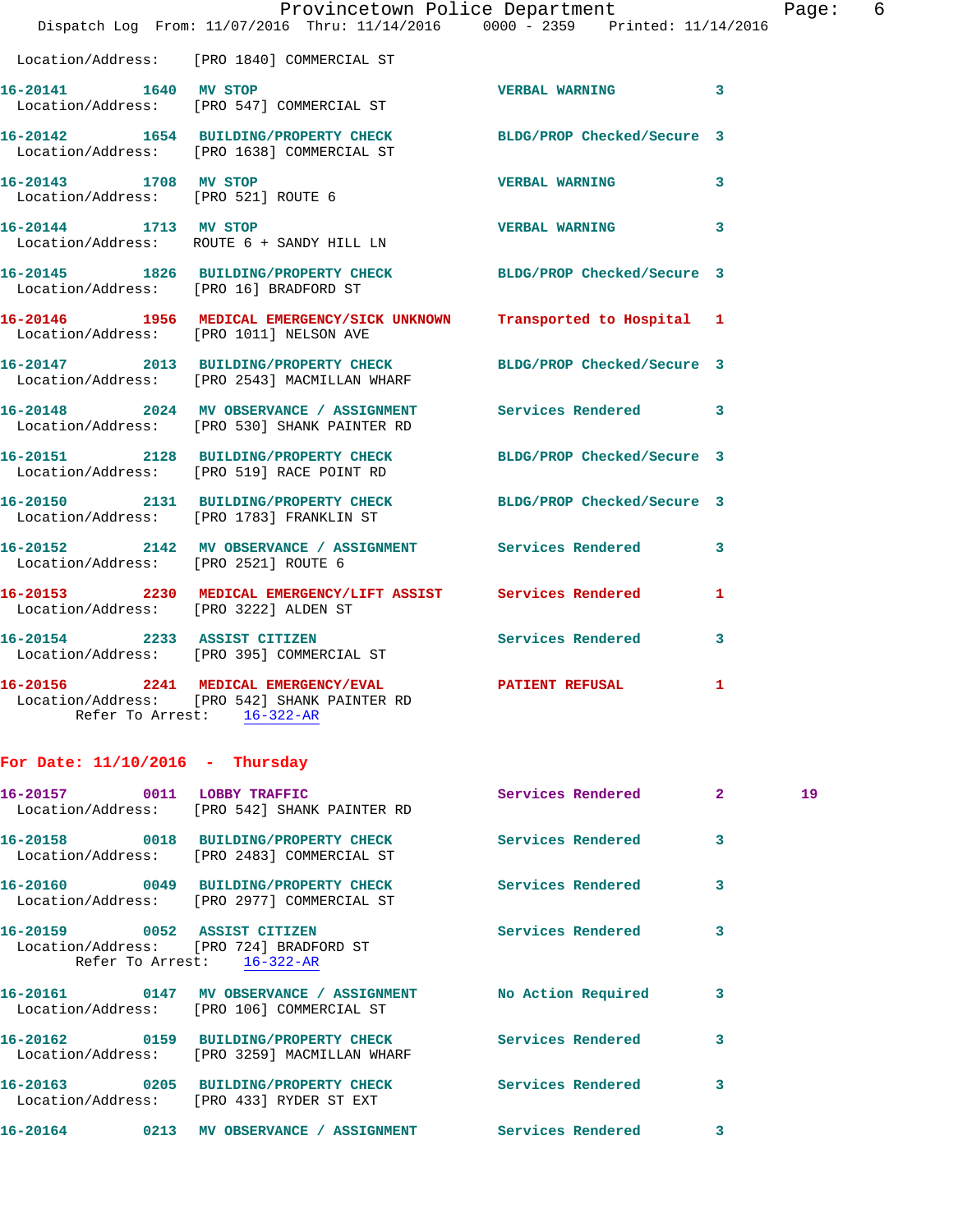|                                       | Provincetown Police Department<br>Dispatch Log From: 11/07/2016 Thru: 11/14/2016 0000 - 2359 Printed: 11/14/2016  |                       | Page: 6                 |  |
|---------------------------------------|-------------------------------------------------------------------------------------------------------------------|-----------------------|-------------------------|--|
|                                       | Location/Address: [PRO 1840] COMMERCIAL ST                                                                        |                       |                         |  |
| 16-20141 1640 MV STOP                 | Location/Address: [PRO 547] COMMERCIAL ST                                                                         | VERBAL WARNING 3      |                         |  |
|                                       | 16-20142 1654 BUILDING/PROPERTY CHECK BLDG/PROP Checked/Secure 3<br>Location/Address: [PRO 1638] COMMERCIAL ST    |                       |                         |  |
| 16-20143 1708 MV STOP                 | Location/Address: [PRO 521] ROUTE 6                                                                               | <b>VERBAL WARNING</b> | $\overline{\mathbf{3}}$ |  |
| 16-20144 1713 MV STOP                 | Location/Address: ROUTE 6 + SANDY HILL LN                                                                         | VERBAL WARNING 3      |                         |  |
|                                       | 16-20145 1826 BUILDING/PROPERTY CHECK BLDG/PROP Checked/Secure 3<br>Location/Address: [PRO 16] BRADFORD ST        |                       |                         |  |
|                                       | 16-20146 1956 MEDICAL EMERGENCY/SICK UNKNOWN Transported to Hospital 1<br>Location/Address: [PRO 1011] NELSON AVE |                       |                         |  |
|                                       | 16-20147 2013 BUILDING/PROPERTY CHECK BLDG/PROP Checked/Secure 3<br>Location/Address: [PRO 2543] MACMILLAN WHARF  |                       |                         |  |
|                                       | 16-20148 2024 MV OBSERVANCE / ASSIGNMENT Services Rendered 3<br>Location/Address: [PRO 530] SHANK PAINTER RD      |                       |                         |  |
|                                       | 16-20151 2128 BUILDING/PROPERTY CHECK BLDG/PROP Checked/Secure 3<br>Location/Address: [PRO 519] RACE POINT RD     |                       |                         |  |
|                                       | 16-20150 2131 BUILDING/PROPERTY CHECK BLDG/PROP Checked/Secure 3<br>Location/Address: [PRO 1783] FRANKLIN ST      |                       |                         |  |
| Location/Address: [PRO 2521] ROUTE 6  | 16-20152 2142 MV OBSERVANCE / ASSIGNMENT Services Rendered 3                                                      |                       |                         |  |
| Location/Address: [PRO 3222] ALDEN ST | 16-20153 2230 MEDICAL EMERGENCY/LIFT ASSIST Services Rendered                                                     |                       | 1                       |  |
|                                       | 16-20154 2233 ASSIST CITIZEN<br>Location/Address: [PRO 395] COMMERCIAL ST                                         | Services Rendered     | 3                       |  |
| Refer To Arrest: 16-322-AR            | 16-20156 2241 MEDICAL EMERGENCY/EVAL 2015 PATIENT REFUSAL 1<br>Location/Address: [PRO 542] SHANK PAINTER RD       |                       |                         |  |
|                                       |                                                                                                                   |                       |                         |  |

## **For Date: 11/10/2016 - Thursday**

|                  | Location/Address: [PRO 542] SHANK PAINTER RD                                        |                          | <b>Services Rendered</b> | $\overline{2}$          | 19 |
|------------------|-------------------------------------------------------------------------------------|--------------------------|--------------------------|-------------------------|----|
|                  | 16-20158 0018 BUILDING/PROPERTY CHECK<br>Location/Address: [PRO 2483] COMMERCIAL ST |                          | Services Rendered        | $\overline{\mathbf{3}}$ |    |
|                  | Location/Address: [PRO 2977] COMMERCIAL ST                                          |                          | Services Rendered        | 3                       |    |
|                  | Location/Address: [PRO 724] BRADFORD ST<br>Refer To Arrest: 16-322-AR               |                          | Services Rendered        | 3                       |    |
|                  | Location/Address: [PRO 106] COMMERCIAL ST                                           |                          | No Action Required       | 3                       |    |
|                  | Location/Address: [PRO 3259] MACMILLAN WHARF                                        | Services Rendered        |                          | 3                       |    |
|                  | Location/Address: [PRO 433] RYDER ST EXT                                            |                          | Services Rendered        | 3                       |    |
| 16-20164<br>0213 | MV OBSERVANCE / ASSIGNMENT                                                          | <b>Services Rendered</b> |                          | 3                       |    |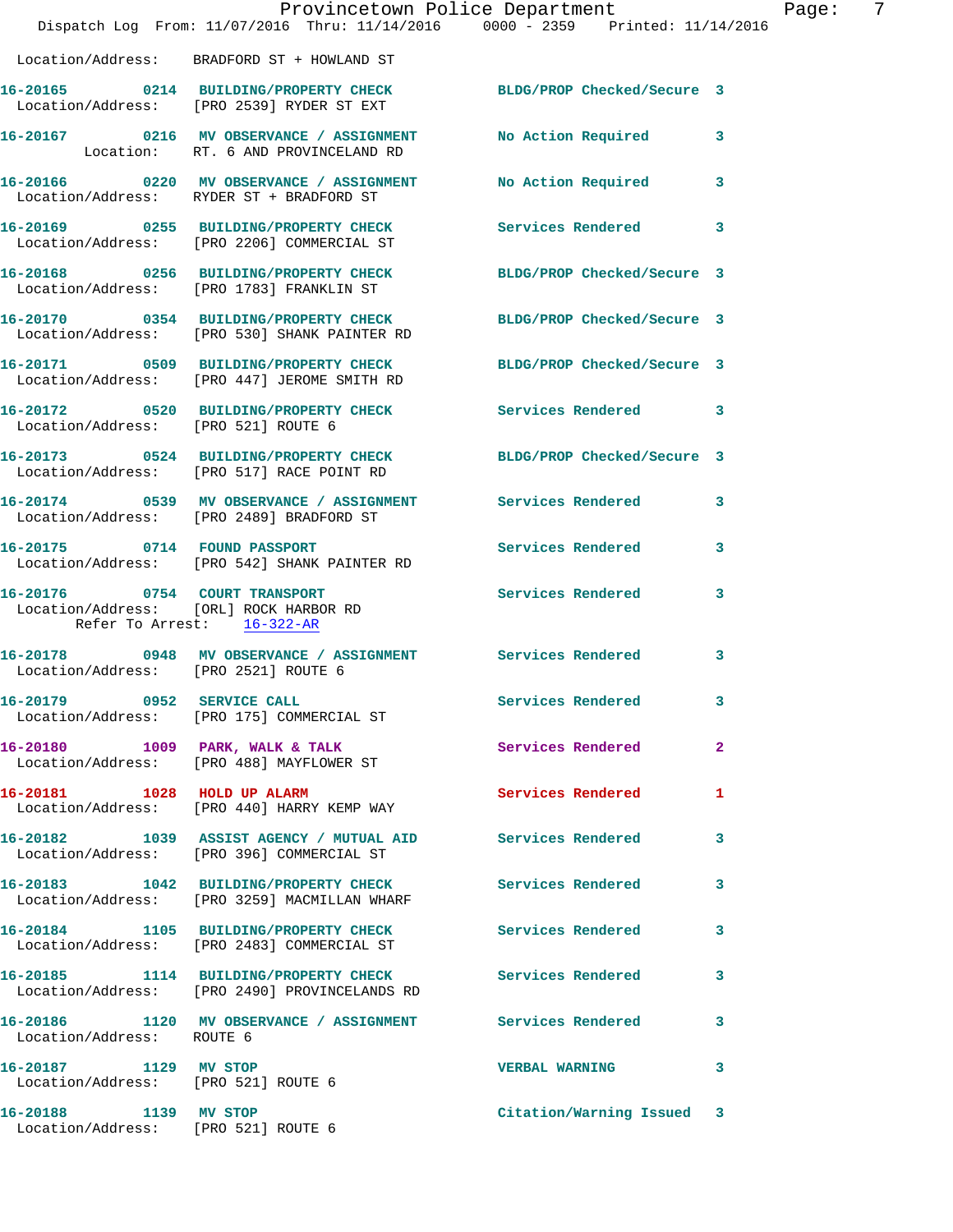|                                                              | Dispatch Log From: 11/07/2016 Thru: 11/14/2016 0000 - 2359 Printed: 11/14/2016                                   | Provincetown Police Department Tage: | -7                      |
|--------------------------------------------------------------|------------------------------------------------------------------------------------------------------------------|--------------------------------------|-------------------------|
|                                                              | Location/Address: BRADFORD ST + HOWLAND ST                                                                       |                                      |                         |
|                                                              | 16-20165 0214 BUILDING/PROPERTY CHECK BLDG/PROP Checked/Secure 3<br>Location/Address: [PRO 2539] RYDER ST EXT    |                                      |                         |
|                                                              | 16-20167 0216 MV OBSERVANCE / ASSIGNMENT No Action Required 3<br>Location: RT. 6 AND PROVINCELAND RD             |                                      |                         |
|                                                              | 16-20166 0220 MV OBSERVANCE / ASSIGNMENT<br>Location/Address: RYDER ST + BRADFORD ST                             | No Action Required 3                 |                         |
|                                                              | 16-20169 0255 BUILDING/PROPERTY CHECK Services Rendered 3<br>Location/Address: [PRO 2206] COMMERCIAL ST          |                                      |                         |
|                                                              | 16-20168 0256 BUILDING/PROPERTY CHECK BLDG/PROP Checked/Secure 3<br>Location/Address: [PRO 1783] FRANKLIN ST     |                                      |                         |
|                                                              | 16-20170 0354 BUILDING/PROPERTY CHECK BLDG/PROP Checked/Secure 3<br>Location/Address: [PRO 530] SHANK PAINTER RD |                                      |                         |
|                                                              | 16-20171 0509 BUILDING/PROPERTY CHECK BLDG/PROP Checked/Secure 3<br>Location/Address: [PRO 447] JEROME SMITH RD  |                                      |                         |
| Location/Address: [PRO 521] ROUTE 6                          | 16-20172 0520 BUILDING/PROPERTY CHECK Services Rendered 3                                                        |                                      |                         |
|                                                              | 16-20173 0524 BUILDING/PROPERTY CHECK BLDG/PROP Checked/Secure 3<br>Location/Address: [PRO 517] RACE POINT RD    |                                      |                         |
|                                                              | 16-20174 0539 MV OBSERVANCE / ASSIGNMENT Services Rendered 3<br>Location/Address: [PRO 2489] BRADFORD ST         |                                      |                         |
|                                                              |                                                                                                                  | Services Rendered                    | 3                       |
| Refer To Arrest: 16-322-AR                                   | Location/Address: [ORL] ROCK HARBOR RD                                                                           |                                      |                         |
| Location/Address: [PRO 2521] ROUTE 6                         | 16-20178 0948 MV OBSERVANCE / ASSIGNMENT Services Rendered 3                                                     |                                      |                         |
|                                                              | 16-20179 0952 SERVICE CALL<br>Location/Address: [PRO 175] COMMERCIAL ST                                          | Services Rendered                    | 3                       |
|                                                              | 16-20180 1009 PARK, WALK & TALK<br>Location/Address: [PRO 488] MAYFLOWER ST                                      | Services Rendered 2                  |                         |
|                                                              | 16-20181 1028 HOLD UP ALARM<br>Location/Address: [PRO 440] HARRY KEMP WAY                                        | Services Rendered                    | 1                       |
|                                                              | 16-20182 1039 ASSIST AGENCY / MUTUAL AID Services Rendered 3<br>Location/Address: [PRO 396] COMMERCIAL ST        |                                      |                         |
|                                                              | 16-20183 1042 BUILDING/PROPERTY CHECK Services Rendered<br>Location/Address: [PRO 3259] MACMILLAN WHARF          |                                      | 3                       |
|                                                              | 16-20184 1105 BUILDING/PROPERTY CHECK<br>Location/Address: [PRO 2483] COMMERCIAL ST                              | Services Rendered                    | 3                       |
|                                                              | 16-20185 1114 BUILDING/PROPERTY CHECK<br>Location/Address: [PRO 2490] PROVINCELANDS RD                           | Services Rendered                    | $\overline{\mathbf{3}}$ |
| Location/Address: ROUTE 6                                    | 16-20186 1120 MV OBSERVANCE / ASSIGNMENT Services Rendered 3                                                     |                                      |                         |
| 16-20187 1129 MV STOP<br>Location/Address: [PRO 521] ROUTE 6 |                                                                                                                  | VERBAL WARNING 3                     |                         |
| 16-20188 1139 MV STOP<br>Location/Address: [PRO 521] ROUTE 6 |                                                                                                                  | Citation/Warning Issued 3            |                         |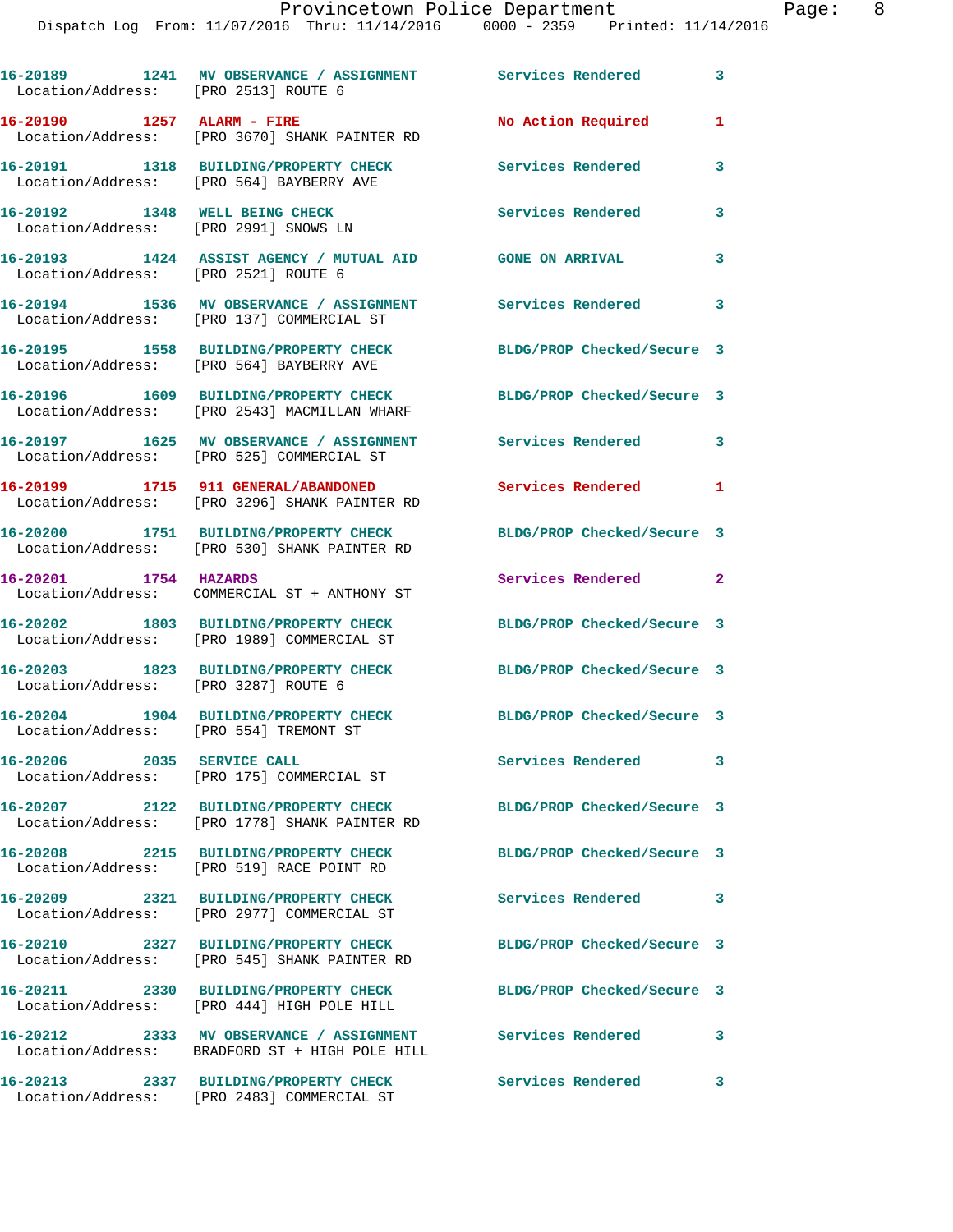## Provincetown Police Department Page: 8

|          |      |                                      | IIO VIII COOMII I OIICO DONAI CHOIIC                                           |                    |              |
|----------|------|--------------------------------------|--------------------------------------------------------------------------------|--------------------|--------------|
|          |      |                                      | Dispatch Log From: 11/07/2016 Thru: 11/14/2016 0000 - 2359 Printed: 11/14/2016 |                    |              |
| 16-20189 | 1241 | Location/Address: [PRO 2513] ROUTE 6 | MV OBSERVANCE / ASSIGNMENT                                                     | Services Rendered  | 3            |
| 16-20190 | 1257 | ALARM - FIRE                         | Location/Address: [PRO 3670] SHANK PAINTER RD                                  | No Action Required | $\mathbf{1}$ |

**16-20191 1318 BUILDING/PROPERTY CHECK Services Rendered 3**  Location/Address: [PRO 564] BAYBERRY AVE **16-20192 1348 WELL BEING CHECK Services Rendered 3**  Location/Address: [PRO 2991] SNOWS LN

**16-20193 1424 ASSIST AGENCY / MUTUAL AID GONE ON ARRIVAL 3**  Location/Address: [PRO 2521] ROUTE 6

**16-20194 1536 MV OBSERVANCE / ASSIGNMENT Services Rendered 3**  Location/Address: [PRO 137] COMMERCIAL ST

**16-20195 1558 BUILDING/PROPERTY CHECK BLDG/PROP Checked/Secure 3**  Location/Address: [PRO 564] BAYBERRY AVE

**16-20196 1609 BUILDING/PROPERTY CHECK BLDG/PROP Checked/Secure 3**  Location/Address: [PRO 2543] MACMILLAN WHARF

**16-20197 1625 MV OBSERVANCE / ASSIGNMENT Services Rendered 3**  Location/Address: [PRO 525] COMMERCIAL ST

**16-20199 1715 911 GENERAL/ABANDONED Services Rendered 1**  Location/Address: [PRO 3296] SHANK PAINTER RD

**16-20200 1751 BUILDING/PROPERTY CHECK BLDG/PROP Checked/Secure 3**  Location/Address: [PRO 530] SHANK PAINTER RD

**16-20201 1754 HAZARDS Services Rendered 2**  Location/Address: COMMERCIAL ST + ANTHONY ST

**16-20202 1803 BUILDING/PROPERTY CHECK BLDG/PROP Checked/Secure 3**  Location/Address: [PRO 1989] COMMERCIAL ST

**16-20203 1823 BUILDING/PROPERTY CHECK BLDG/PROP Checked/Secure 3**  Location/Address: [PRO 3287] ROUTE 6

**16-20204 1904 BUILDING/PROPERTY CHECK BLDG/PROP Checked/Secure 3**  Location/Address: [PRO 554] TREMONT ST

**16-20206 2035 SERVICE CALL Services Rendered 3**  Location/Address: [PRO 175] COMMERCIAL ST

**16-20207 2122 BUILDING/PROPERTY CHECK BLDG/PROP Checked/Secure 3**  Location/Address: [PRO 1778] SHANK PAINTER RD

**16-20208 2215 BUILDING/PROPERTY CHECK BLDG/PROP Checked/Secure 3**  Location/Address: [PRO 519] RACE POINT RD

**16-20209 2321 BUILDING/PROPERTY CHECK Services Rendered 3**  Location/Address: [PRO 2977] COMMERCIAL ST

**16-20210 2327 BUILDING/PROPERTY CHECK BLDG/PROP Checked/Secure 3**  Location/Address: [PRO 545] SHANK PAINTER RD

Location/Address: [PRO 444] HIGH POLE HILL

**16-20212 2333 MV OBSERVANCE / ASSIGNMENT Services Rendered 3**  Location/Address: BRADFORD ST + HIGH POLE HILL

**16-20213 2337 BUILDING/PROPERTY CHECK Services Rendered 3**  Location/Address: [PRO 2483] COMMERCIAL ST

**16-20211 2330 BUILDING/PROPERTY CHECK BLDG/PROP Checked/Secure 3**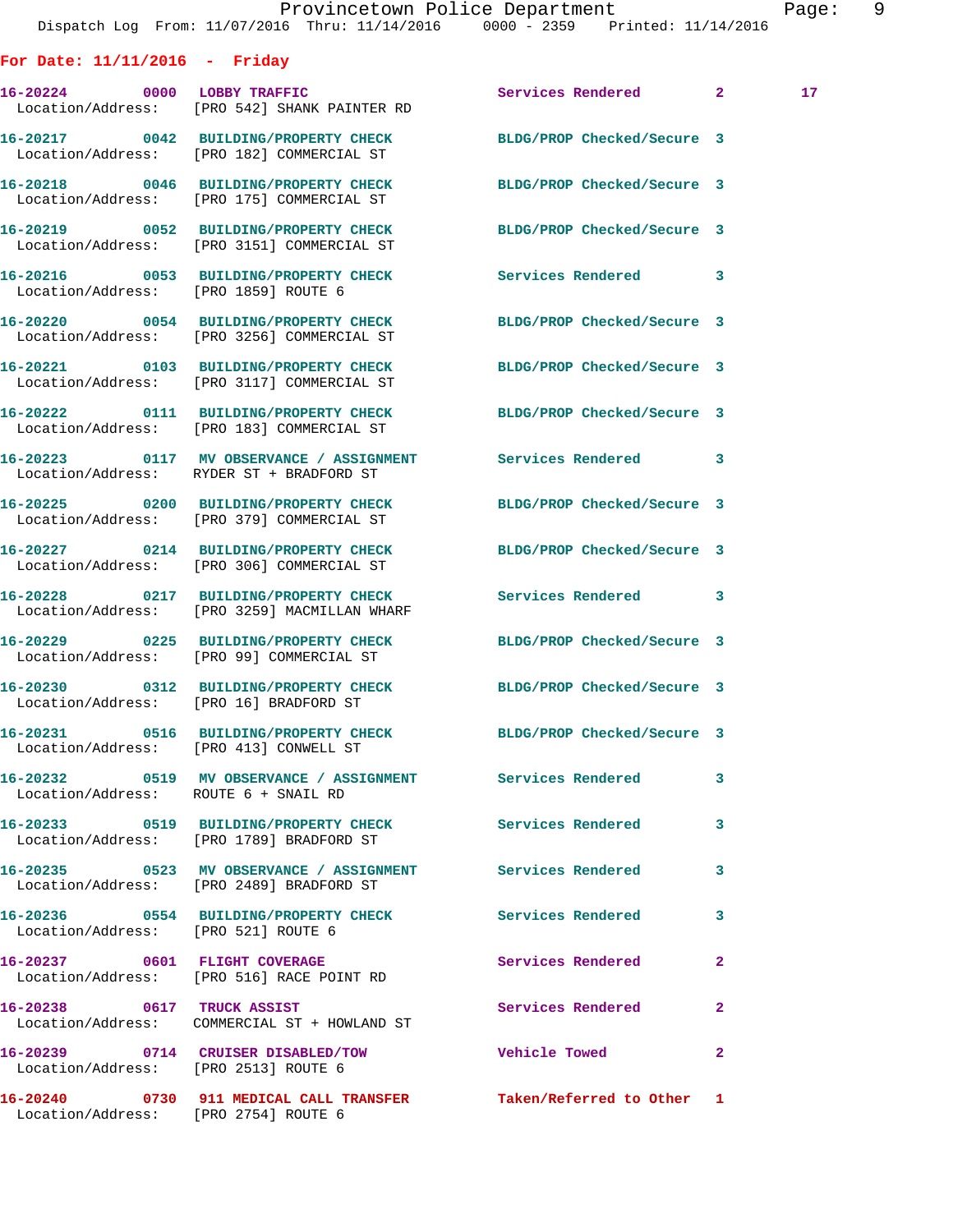| For Date: $11/11/2016$ - Friday        |                                                                                                          |                                 |              |                 |
|----------------------------------------|----------------------------------------------------------------------------------------------------------|---------------------------------|--------------|-----------------|
| 16-20224 0000 LOBBY TRAFFIC            | Location/Address: [PRO 542] SHANK PAINTER RD                                                             | Services Rendered 2             |              | 17 <sub>1</sub> |
|                                        | 16-20217 0042 BUILDING/PROPERTY CHECK<br>Location/Address: [PRO 182] COMMERCIAL ST                       | BLDG/PROP Checked/Secure 3      |              |                 |
|                                        | 16-20218 0046 BUILDING/PROPERTY CHECK<br>Location/Address: [PRO 175] COMMERCIAL ST                       | BLDG/PROP Checked/Secure 3      |              |                 |
|                                        | 16-20219 0052 BUILDING/PROPERTY CHECK<br>Location/Address: [PRO 3151] COMMERCIAL ST                      | BLDG/PROP Checked/Secure 3      |              |                 |
| Location/Address: [PRO 1859] ROUTE 6   | 16-20216 0053 BUILDING/PROPERTY CHECK                                                                    | Services Rendered 3             |              |                 |
|                                        | 16-20220 0054 BUILDING/PROPERTY CHECK<br>Location/Address: [PRO 3256] COMMERCIAL ST                      | BLDG/PROP Checked/Secure 3      |              |                 |
|                                        | 16-20221 0103 BUILDING/PROPERTY CHECK<br>Location/Address: [PRO 3117] COMMERCIAL ST                      | BLDG/PROP Checked/Secure 3      |              |                 |
|                                        | 16-20222 0111 BUILDING/PROPERTY CHECK<br>Location/Address: [PRO 183] COMMERCIAL ST                       | BLDG/PROP Checked/Secure 3      |              |                 |
|                                        | 16-20223 0117 MV OBSERVANCE / ASSIGNMENT Services Rendered 3<br>Location/Address: RYDER ST + BRADFORD ST |                                 |              |                 |
|                                        | 16-20225 0200 BUILDING/PROPERTY CHECK<br>Location/Address: [PRO 379] COMMERCIAL ST                       | BLDG/PROP Checked/Secure 3      |              |                 |
|                                        | 16-20227 0214 BUILDING/PROPERTY CHECK<br>Location/Address: [PRO 306] COMMERCIAL ST                       | BLDG/PROP Checked/Secure 3      |              |                 |
|                                        | 16-20228 0217 BUILDING/PROPERTY CHECK<br>Location/Address: [PRO 3259] MACMILLAN WHARF                    | Services Rendered 3             |              |                 |
|                                        | 16-20229 0225 BUILDING/PROPERTY CHECK<br>Location/Address: [PRO 99] COMMERCIAL ST                        | BLDG/PROP Checked/Secure 3      |              |                 |
| Location/Address: [PRO 16] BRADFORD ST | 16-20230 0312 BUILDING/PROPERTY CHECK BLDG/PROP Checked/Secure 3                                         |                                 |              |                 |
| Location/Address: [PRO 413] CONWELL ST | 16-20231 0516 BUILDING/PROPERTY CHECK BLDG/PROP Checked/Secure 3                                         |                                 |              |                 |
| Location/Address: ROUTE 6 + SNAIL RD   | 16-20232 0519 MV OBSERVANCE / ASSIGNMENT Services Rendered                                               |                                 | 3            |                 |
|                                        | 16-20233 0519 BUILDING/PROPERTY CHECK Services Rendered<br>Location/Address: [PRO 1789] BRADFORD ST      |                                 | 3            |                 |
|                                        | 16-20235 0523 MV OBSERVANCE / ASSIGNMENT Services Rendered<br>Location/Address: [PRO 2489] BRADFORD ST   |                                 | 3            |                 |
| Location/Address: [PRO 521] ROUTE 6    | 16-20236 0554 BUILDING/PROPERTY CHECK Services Rendered                                                  |                                 | 3            |                 |
|                                        | 16-20237 0601 FLIGHT COVERAGE<br>Location/Address: [PRO 516] RACE POINT RD                               | Services Rendered               | $\mathbf{2}$ |                 |
| 16-20238 0617 TRUCK ASSIST             | Location/Address: COMMERCIAL ST + HOWLAND ST                                                             | Services Rendered               | $\mathbf{2}$ |                 |
| Location/Address: [PRO 2513] ROUTE 6   | 16-20239 0714 CRUISER DISABLED/TOW                                                                       | <b>Example 20 Yehicle Towed</b> | $\mathbf{2}$ |                 |
|                                        | 16-20240 0730 911 MEDICAL CALL TRANSFER Taken/Referred to Other 1                                        |                                 |              |                 |

Location/Address: [PRO 2754] ROUTE 6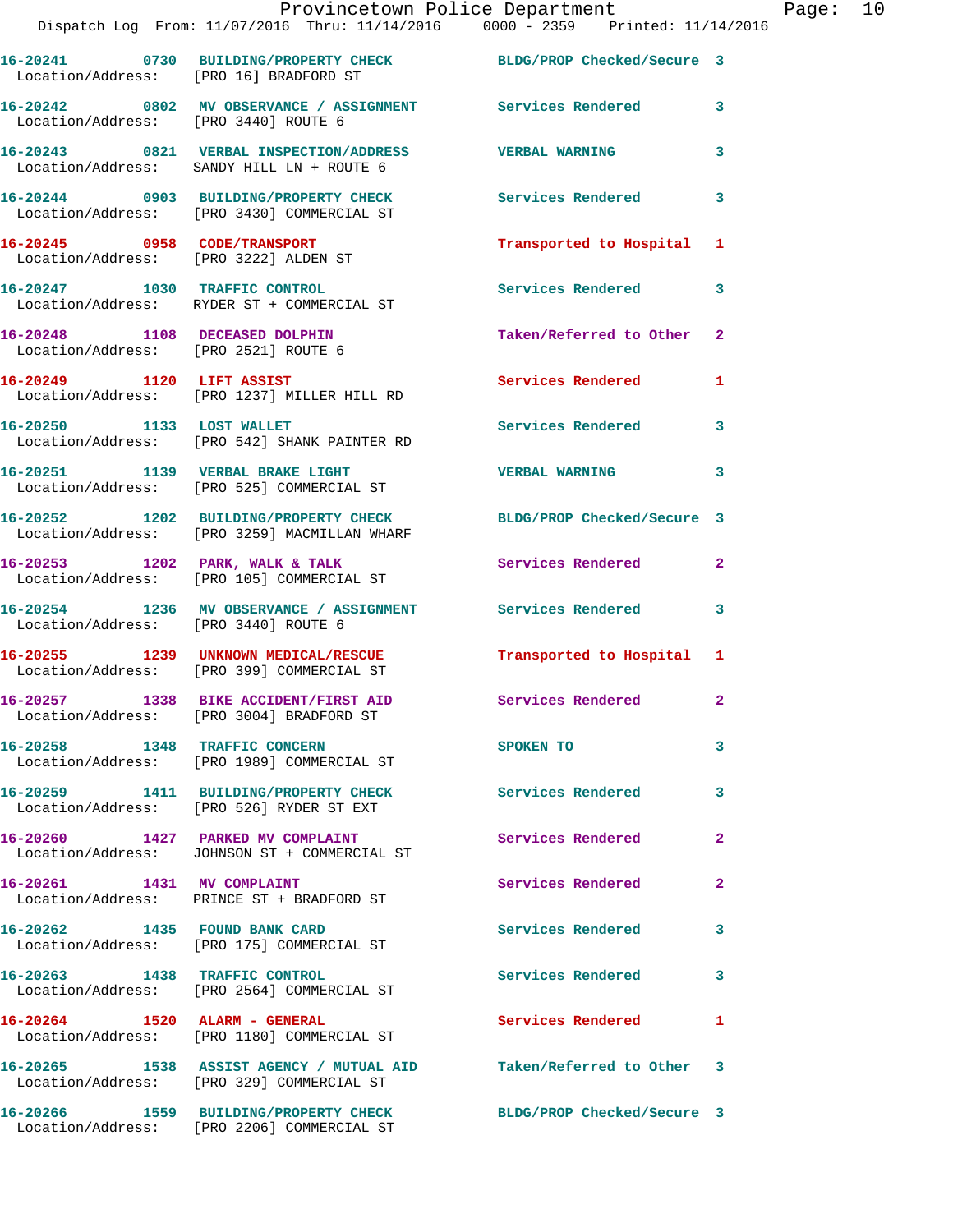|                                      | Provincetown Police Department<br>Dispatch Log From: 11/07/2016 Thru: 11/14/2016 0000 - 2359 Printed: 11/14/2016 |                           |                |
|--------------------------------------|------------------------------------------------------------------------------------------------------------------|---------------------------|----------------|
|                                      | 16-20241 0730 BUILDING/PROPERTY CHECK BLDG/PROP Checked/Secure 3<br>Location/Address: [PRO 16] BRADFORD ST       |                           |                |
| Location/Address: [PRO 3440] ROUTE 6 | 16-20242 0802 MV OBSERVANCE / ASSIGNMENT Services Rendered                                                       |                           | 3              |
|                                      | 16-20243 0821 VERBAL INSPECTION/ADDRESS VERBAL WARNING<br>Location/Address: SANDY HILL LN + ROUTE 6              |                           | 3              |
|                                      | 16-20244 0903 BUILDING/PROPERTY CHECK Services Rendered<br>Location/Address: [PRO 3430] COMMERCIAL ST            |                           | 3              |
|                                      | 16-20245 0958 CODE/TRANSPORT<br>Location/Address: [PRO 3222] ALDEN ST                                            | Transported to Hospital   | 1              |
|                                      | 16-20247 1030 TRAFFIC CONTROL<br>Location/Address: RYDER ST + COMMERCIAL ST                                      | Services Rendered         | 3              |
| Location/Address: [PRO 2521] ROUTE 6 | 16-20248 1108 DECEASED DOLPHIN                                                                                   | Taken/Referred to Other   | $\mathbf{2}$   |
| 16-20249 1120 LIFT ASSIST            | Location/Address: [PRO 1237] MILLER HILL RD                                                                      | <b>Services Rendered</b>  | 1              |
|                                      | 16-20250 1133 LOST WALLET<br>Location/Address: [PRO 542] SHANK PAINTER RD                                        | <b>Services Rendered</b>  | 3              |
|                                      | 16-20251 1139 VERBAL BRAKE LIGHT<br>Location/Address: [PRO 525] COMMERCIAL ST                                    | <b>VERBAL WARNING</b>     | 3              |
|                                      | 16-20252 1202 BUILDING/PROPERTY CHECK BLDG/PROP Checked/Secure 3<br>Location/Address: [PRO 3259] MACMILLAN WHARF |                           |                |
|                                      | $16 - 20253$ 1202 PARK, WALK & TALK<br>Location/Address: [PRO 105] COMMERCIAL ST                                 | Services Rendered         | $\mathbf{2}$   |
| Location/Address: [PRO 3440] ROUTE 6 | 16-20254 1236 MV OBSERVANCE / ASSIGNMENT Services Rendered                                                       |                           | 3              |
|                                      | 16-20255 1239 UNKNOWN MEDICAL/RESCUE<br>Location/Address: [PRO 399] COMMERCIAL ST                                | Transported to Hospital 1 |                |
|                                      | 16-20257 1338 BIKE ACCIDENT/FIRST AID<br>Location/Address: [PRO 3004] BRADFORD ST                                | Services Rendered         | $\overline{a}$ |
| 16-20258 1348 TRAFFIC CONCERN        | Location/Address: [PRO 1989] COMMERCIAL ST                                                                       | SPOKEN TO                 | 3              |
|                                      | 16-20259 1411 BUILDING/PROPERTY CHECK<br>Location/Address: [PRO 526] RYDER ST EXT                                | <b>Services Rendered</b>  | 3              |
|                                      | 16-20260 1427 PARKED MV COMPLAINT<br>Location/Address: JOHNSON ST + COMMERCIAL ST                                | Services Rendered         | 2              |
| 16-20261 1431 MV COMPLAINT           | Location/Address: PRINCE ST + BRADFORD ST                                                                        | Services Rendered         | 2              |
| 16-20262 1435 FOUND BANK CARD        | Location/Address: [PRO 175] COMMERCIAL ST                                                                        | <b>Services Rendered</b>  | 3              |
|                                      | 16-20263 1438 TRAFFIC CONTROL<br>Location/Address: [PRO 2564] COMMERCIAL ST                                      | <b>Services Rendered</b>  | 3              |
|                                      | 16-20264 1520 ALARM - GENERAL<br>Location/Address: [PRO 1180] COMMERCIAL ST                                      | Services Rendered         | 1              |
|                                      | 16-20265 1538 ASSIST AGENCY / MUTUAL AID Taken/Referred to Other<br>Location/Address: [PRO 329] COMMERCIAL ST    |                           | 3              |
|                                      | 16-20266      1559  BUILDING/PROPERTY CHECK        BLDG/PROP Checked/Secure 3                                    |                           |                |

Location/Address: [PRO 2206] COMMERCIAL ST

Page: 10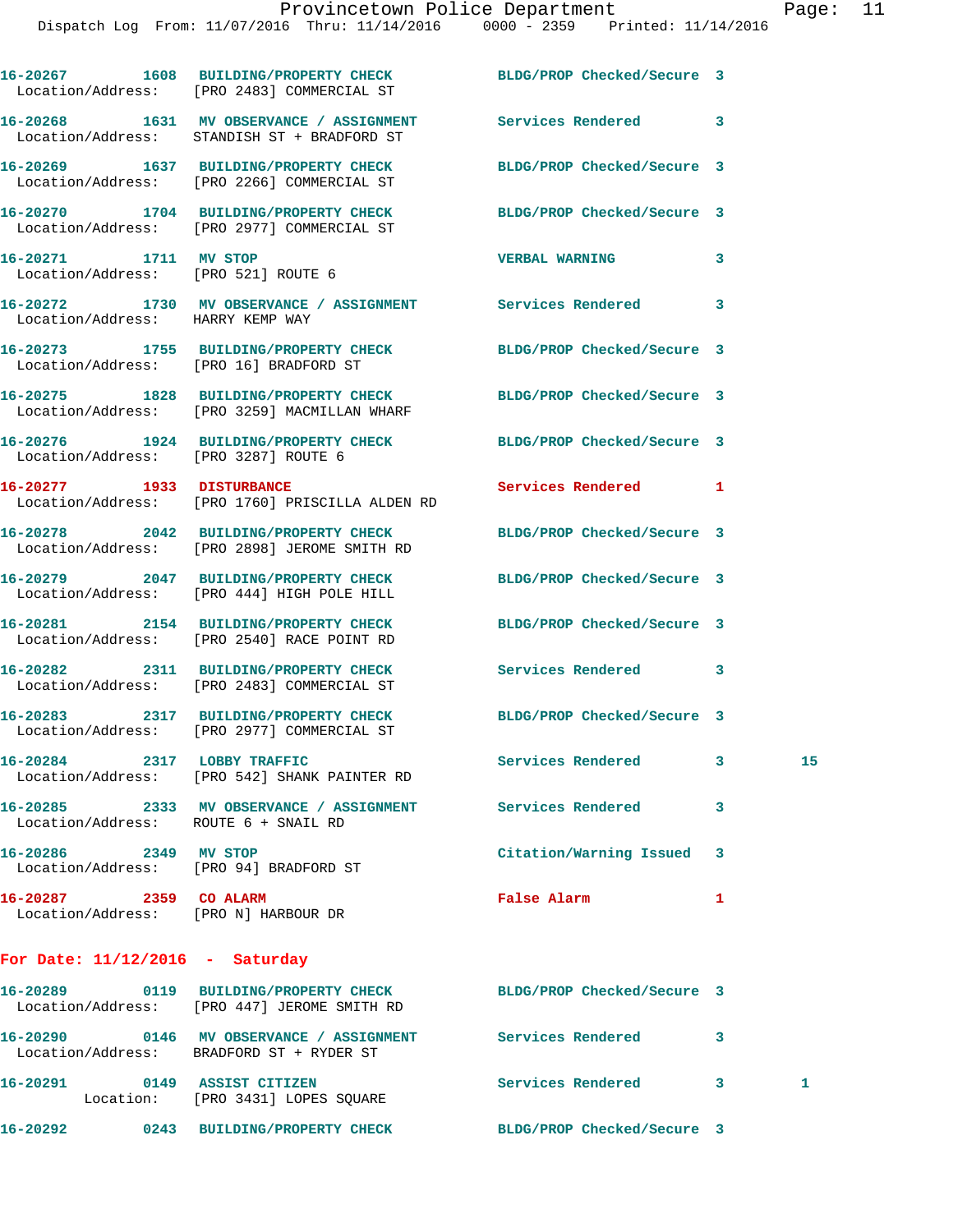|                                                                 | 16-20267 1608 BUILDING/PROPERTY CHECK BLDG/PROP Checked/Secure 3<br>Location/Address: [PRO 2483] COMMERCIAL ST |                            |   |    |
|-----------------------------------------------------------------|----------------------------------------------------------------------------------------------------------------|----------------------------|---|----|
|                                                                 | 16-20268 1631 MV OBSERVANCE / ASSIGNMENT<br>Location/Address: STANDISH ST + BRADFORD ST                        | Services Rendered 3        |   |    |
|                                                                 | 16-20269 1637 BUILDING/PROPERTY CHECK<br>Location/Address: [PRO 2266] COMMERCIAL ST                            | BLDG/PROP Checked/Secure 3 |   |    |
|                                                                 | 16-20270 1704 BUILDING/PROPERTY CHECK<br>Location/Address: [PRO 2977] COMMERCIAL ST                            | BLDG/PROP Checked/Secure 3 |   |    |
| 16-20271 1711 MV STOP<br>Location/Address: [PRO 521] ROUTE 6    |                                                                                                                | <b>VERBAL WARNING</b>      | 3 |    |
| Location/Address: HARRY KEMP WAY                                | 16-20272 1730 MV OBSERVANCE / ASSIGNMENT Services Rendered 3                                                   |                            |   |    |
| Location/Address: [PRO 16] BRADFORD ST                          | 16-20273 1755 BUILDING/PROPERTY CHECK                                                                          | BLDG/PROP Checked/Secure 3 |   |    |
|                                                                 | 16-20275 1828 BUILDING/PROPERTY CHECK<br>Location/Address: [PRO 3259] MACMILLAN WHARF                          | BLDG/PROP Checked/Secure 3 |   |    |
| Location/Address: [PRO 3287] ROUTE 6                            | 16-20276 1924 BUILDING/PROPERTY CHECK BLDG/PROP Checked/Secure 3                                               |                            |   |    |
| 16-20277 1933 DISTURBANCE                                       | Location/Address: [PRO 1760] PRISCILLA ALDEN RD                                                                | Services Rendered 1        |   |    |
|                                                                 | 16-20278 2042 BUILDING/PROPERTY CHECK<br>Location/Address: [PRO 2898] JEROME SMITH RD                          | BLDG/PROP Checked/Secure 3 |   |    |
|                                                                 | 16-20279 2047 BUILDING/PROPERTY CHECK<br>Location/Address: [PRO 444] HIGH POLE HILL                            | BLDG/PROP Checked/Secure 3 |   |    |
|                                                                 | 16-20281 2154 BUILDING/PROPERTY CHECK<br>Location/Address: [PRO 2540] RACE POINT RD                            | BLDG/PROP Checked/Secure 3 |   |    |
|                                                                 | 16-20282 2311 BUILDING/PROPERTY CHECK<br>Location/Address: [PRO 2483] COMMERCIAL ST                            | <b>Services Rendered</b>   | 3 |    |
|                                                                 | 16-20283 2317 BUILDING/PROPERTY CHECK<br>Location/Address: [PRO 2977] COMMERCIAL ST                            | BLDG/PROP Checked/Secure 3 |   |    |
| 16-20284 2317 LOBBY TRAFFIC                                     | Location/Address: [PRO 542] SHANK PAINTER RD                                                                   | <b>Services Rendered</b>   | 3 | 15 |
| Location/Address: ROUTE 6 + SNAIL RD                            | 16-20285 2333 MV OBSERVANCE / ASSIGNMENT Services Rendered                                                     |                            | 3 |    |
| 16-20286 2349 MV STOP<br>Location/Address: [PRO 94] BRADFORD ST |                                                                                                                | Citation/Warning Issued    | 3 |    |
| 16-20287 2359 CO ALARM<br>Location/Address: [PRO N] HARBOUR DR  |                                                                                                                | False Alarm                | 1 |    |
| For Date: $11/12/2016$ - Saturday                               |                                                                                                                |                            |   |    |
|                                                                 | 16-20289 0119 BUILDING/PROPERTY CHECK<br>Location/Address: [PRO 447] JEROME SMITH RD                           | BLDG/PROP Checked/Secure 3 |   |    |

**16-20290 0146 MV OBSERVANCE / ASSIGNMENT Services Rendered 3**  Location/Address: BRADFORD ST + RYDER ST **16-20291 0149 ASSIST CITIZEN Services Rendered 3 1**  Location: [PRO 3431] LOPES SQUARE **16-20292 0243 BUILDING/PROPERTY CHECK BLDG/PROP Checked/Secure 3**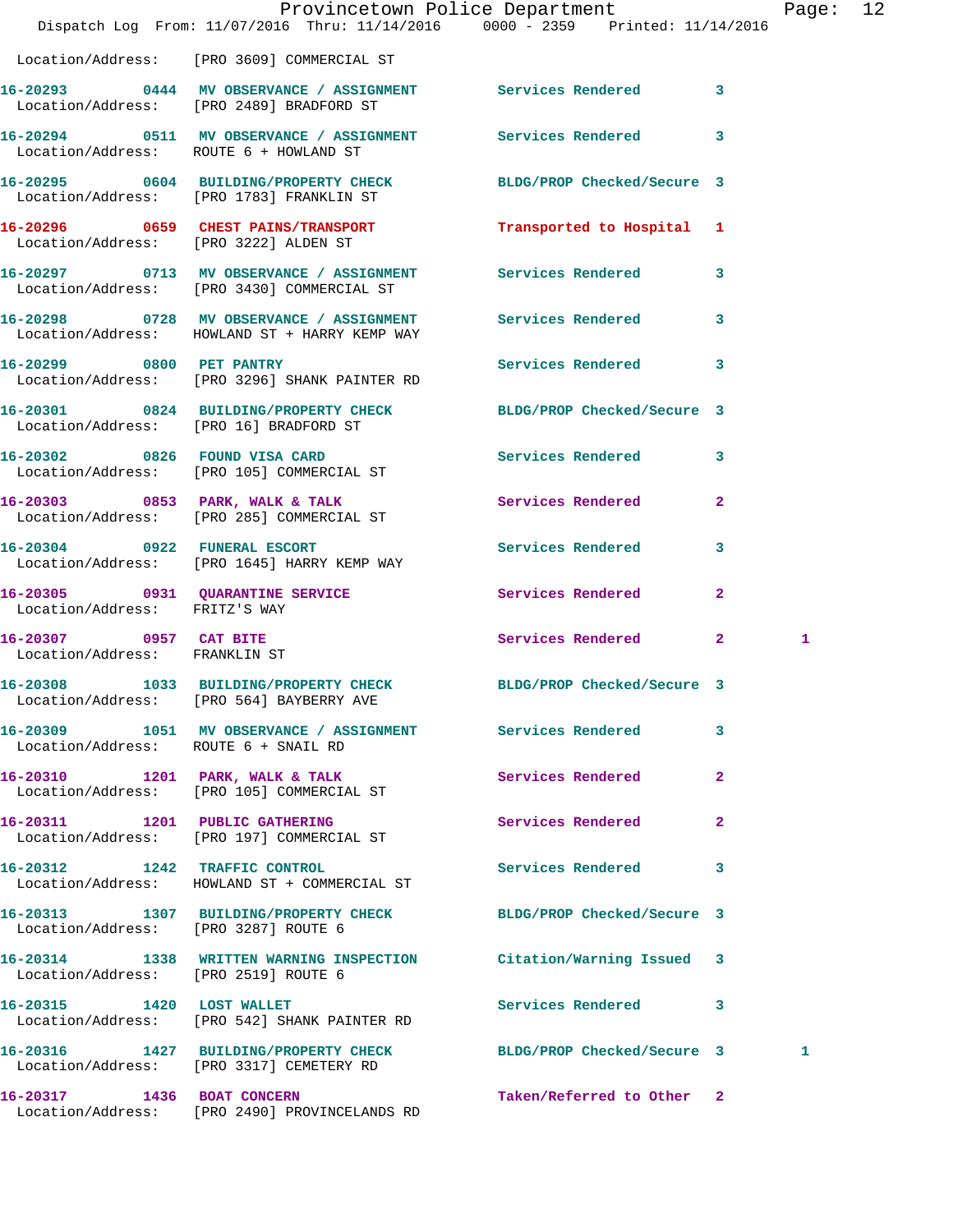|                                                         |                                                                                                               | Provincetown Police Department<br>Dispatch Log From: 11/07/2016 Thru: 11/14/2016 0000 - 2359 Printed: 11/14/2016 | Page: 12 |  |
|---------------------------------------------------------|---------------------------------------------------------------------------------------------------------------|------------------------------------------------------------------------------------------------------------------|----------|--|
|                                                         | Location/Address: [PRO 3609] COMMERCIAL ST                                                                    |                                                                                                                  |          |  |
|                                                         | 16-20293 0444 MV OBSERVANCE / ASSIGNMENT Services Rendered 3<br>Location/Address: [PRO 2489] BRADFORD ST      |                                                                                                                  |          |  |
|                                                         | 16-20294 0511 MV OBSERVANCE / ASSIGNMENT Services Rendered 3<br>Location/Address: ROUTE 6 + HOWLAND ST        |                                                                                                                  |          |  |
|                                                         | 16-20295 0604 BUILDING/PROPERTY CHECK BLDG/PROP Checked/Secure 3<br>Location/Address: [PRO 1783] FRANKLIN ST  |                                                                                                                  |          |  |
|                                                         | 16-20296 0659 CHEST PAINS/TRANSPORT<br>Location/Address: [PRO 3222] ALDEN ST                                  | Transported to Hospital 1                                                                                        |          |  |
|                                                         | 16-20297 0713 MV OBSERVANCE / ASSIGNMENT Services Rendered 3<br>Location/Address: [PRO 3430] COMMERCIAL ST    |                                                                                                                  |          |  |
|                                                         | 16-20298 0728 MV OBSERVANCE / ASSIGNMENT Services Rendered 3<br>Location/Address: HOWLAND ST + HARRY KEMP WAY |                                                                                                                  |          |  |
|                                                         | 16-20299 0800 PET PANTRY<br>Location/Address: [PRO 3296] SHANK PAINTER RD                                     | Services Rendered 3                                                                                              |          |  |
|                                                         | 16-20301 0824 BUILDING/PROPERTY CHECK BLDG/PROP Checked/Secure 3<br>Location/Address: [PRO 16] BRADFORD ST    |                                                                                                                  |          |  |
|                                                         | 16-20302 0826 FOUND VISA CARD Services Rendered 3<br>Location/Address: [PRO 105] COMMERCIAL ST                |                                                                                                                  |          |  |
|                                                         | 16-20303 0853 PARK, WALK & TALK Services Rendered<br>Location/Address: [PRO 285] COMMERCIAL ST                | $\overline{2}$                                                                                                   |          |  |
|                                                         | 16-20304 0922 FUNERAL ESCORT Services Rendered 3<br>Location/Address: [PRO 1645] HARRY KEMP WAY               |                                                                                                                  |          |  |
| Location/Address: FRITZ'S WAY                           | 16-20305 0931 QUARANTINE SERVICE Services Rendered                                                            | $\mathbf{2}$                                                                                                     |          |  |
| 16-20307 0957 CAT BITE<br>Location/Address: FRANKLIN ST |                                                                                                               | Services Rendered 2                                                                                              | 1        |  |
|                                                         | 16-20308 1033 BUILDING/PROPERTY CHECK BLDG/PROP Checked/Secure 3<br>Location/Address: [PRO 564] BAYBERRY AVE  |                                                                                                                  |          |  |
| Location/Address: ROUTE 6 + SNAIL RD                    | 16-20309 1051 MV OBSERVANCE / ASSIGNMENT Services Rendered                                                    | 3                                                                                                                |          |  |
|                                                         | 16-20310 1201 PARK, WALK & TALK<br>Location/Address: [PRO 105] COMMERCIAL ST                                  | Services Rendered<br>$\mathbf{2}$                                                                                |          |  |
|                                                         | 16-20311 1201 PUBLIC GATHERING<br>Location/Address: [PRO 197] COMMERCIAL ST                                   | Services Rendered<br>$\mathbf{2}$                                                                                |          |  |
|                                                         | 16-20312 1242 TRAFFIC CONTROL<br>Location/Address: HOWLAND ST + COMMERCIAL ST                                 | Services Rendered<br>3                                                                                           |          |  |
| Location/Address: [PRO 3287] ROUTE 6                    | 16-20313 1307 BUILDING/PROPERTY CHECK BLDG/PROP Checked/Secure 3                                              |                                                                                                                  |          |  |
| Location/Address: [PRO 2519] ROUTE 6                    | 16-20314 1338 WRITTEN WARNING INSPECTION Citation/Warning Issued 3                                            |                                                                                                                  |          |  |
| 16-20315 1420 LOST WALLET                               | Location/Address: [PRO 542] SHANK PAINTER RD                                                                  | Services Rendered 3                                                                                              |          |  |
|                                                         | Location/Address: [PRO 3317] CEMETERY RD                                                                      | 16-20316 1427 BUILDING/PROPERTY CHECK BLDG/PROP Checked/Secure 3                                                 | 1        |  |
| 16-20317 1436 BOAT CONCERN                              |                                                                                                               | Taken/Referred to Other 2                                                                                        |          |  |

Location/Address: [PRO 2490] PROVINCELANDS RD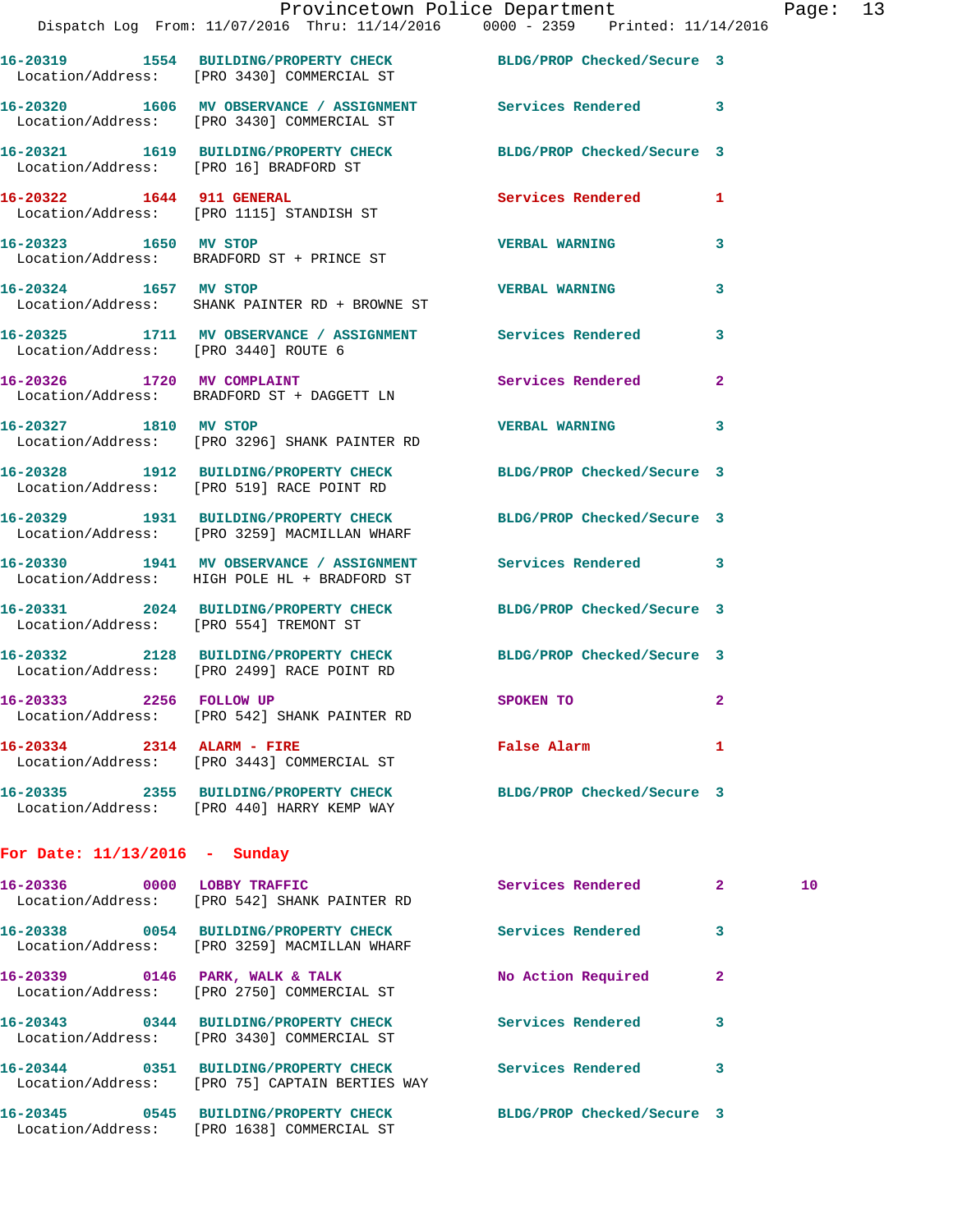**16-20321 1619 BUILDING/PROPERTY CHECK BLDG/PROP Checked/Secure 3**  Location/Address: [PRO 16] BRADFORD ST

**16-20322 1644 911 GENERAL Services Rendered 1**  Location/Address: [PRO 1115] STANDISH ST **16-20323 1650 MV STOP VERBAL WARNING 3** 

**16-20324 1657 MV STOP VERBAL WARNING 3**  Location/Address: SHANK PAINTER RD + BROWNE ST

**16-20325 1711 MV OBSERVANCE / ASSIGNMENT Services Rendered 3**  Location/Address: [PRO 3440] ROUTE 6

Location/Address: BRADFORD ST + PRINCE ST

**16-20326 1720 MV COMPLAINT Services Rendered 2**  Location/Address: BRADFORD ST + DAGGETT LN

**16-20327 1810 MV STOP VERBAL WARNING 3**  Location/Address: [PRO 3296] SHANK PAINTER RD

**16-20328 1912 BUILDING/PROPERTY CHECK BLDG/PROP Checked/Secure 3**  Location/Address: [PRO 519] RACE POINT RD

**16-20329 1931 BUILDING/PROPERTY CHECK BLDG/PROP Checked/Secure 3**  Location/Address: [PRO 3259] MACMILLAN WHARF

**16-20330 1941 MV OBSERVANCE / ASSIGNMENT Services Rendered 3**  Location/Address: HIGH POLE HL + BRADFORD ST

**16-20331 2024 BUILDING/PROPERTY CHECK BLDG/PROP Checked/Secure 3**  Location/Address: [PRO 554] TREMONT ST

**16-20332 2128 BUILDING/PROPERTY CHECK BLDG/PROP Checked/Secure 3**  Location/Address: [PRO 2499] RACE POINT RD

**16-20333 2256 FOLLOW UP SPOKEN TO 2**  Location/Address: [PRO 542] SHANK PAINTER RD

**16-20334 2314 ALARM - FIRE False Alarm 1**  Location/Address: [PRO 3443] COMMERCIAL ST

**16-20335 2355 BUILDING/PROPERTY CHECK BLDG/PROP Checked/Secure 3**  Location/Address: [PRO 440] HARRY KEMP WAY

**For Date: 11/13/2016 - Sunday**

| 0000<br>16-20336                      | LOBBY TRAFFIC<br>Location/Address: [PRO 542] SHANK PAINTER RD             | Services Rendered          | $\overline{2}$ | 10 <sup>1</sup> |
|---------------------------------------|---------------------------------------------------------------------------|----------------------------|----------------|-----------------|
| 16-20338 0054                         | BUILDING/PROPERTY CHECK<br>Location/Address: [PRO 3259] MACMILLAN WHARF   | Services Rendered          | 3              |                 |
| 0146<br>16-20339                      | PARK, WALK & TALK<br>Location/Address: [PRO 2750] COMMERCIAL ST           | No Action Required         | 2              |                 |
| 16-20343<br>0344                      | BUILDING/PROPERTY CHECK<br>Location/Address: [PRO 3430] COMMERCIAL ST     | Services Rendered          | 3              |                 |
| 0351<br>16-20344                      | BUILDING/PROPERTY CHECK<br>Location/Address: [PRO 75] CAPTAIN BERTIES WAY | Services Rendered          | 3              |                 |
| 0545<br>16-20345<br>Location/Address: | <b>BUILDING/PROPERTY CHECK</b><br>[PRO 1638] COMMERCIAL ST                | BLDG/PROP Checked/Secure 3 |                |                 |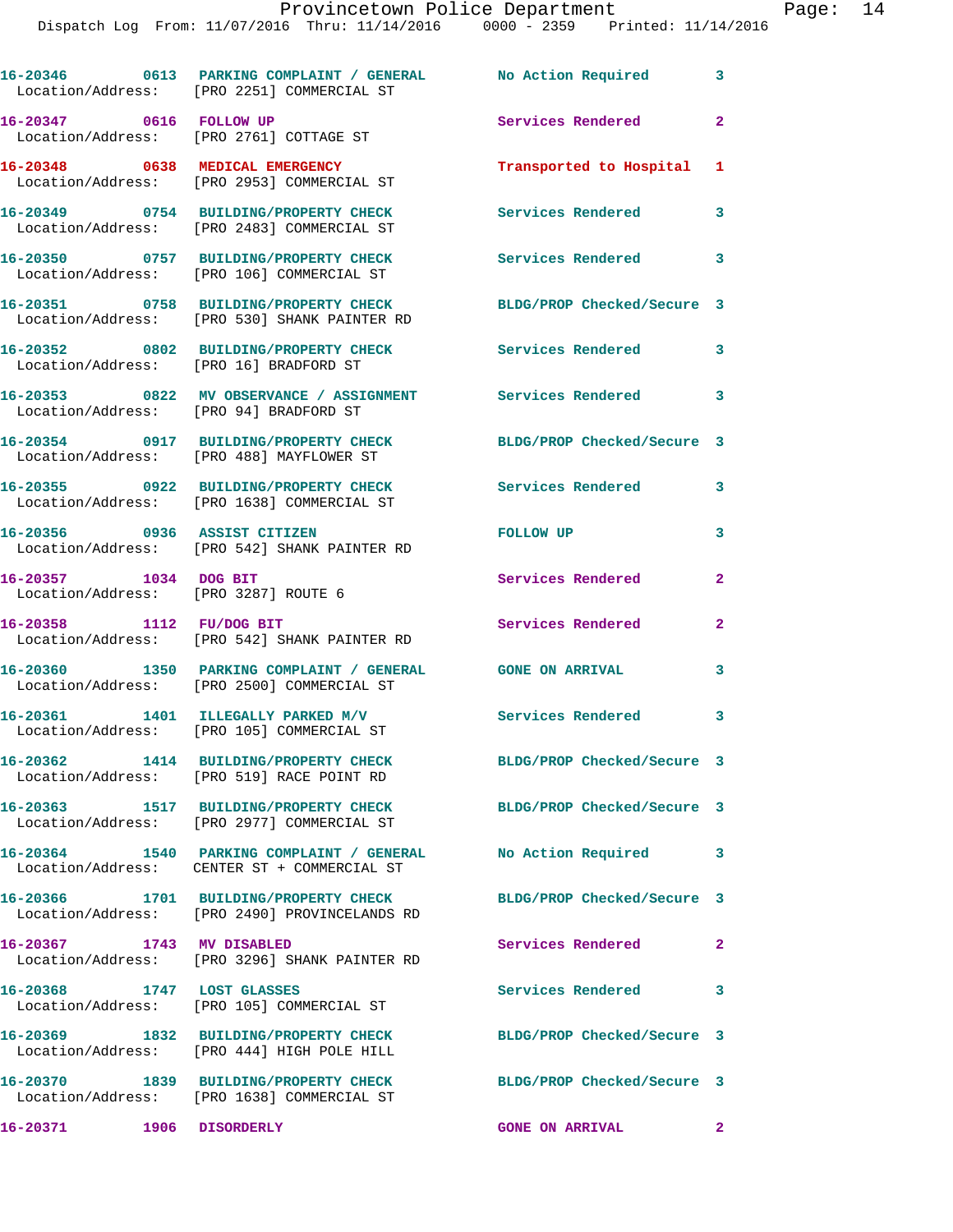|                                                               | 16-20346 0613 PARKING COMPLAINT / GENERAL No Action Required 3<br>Location/Address: [PRO 2251] COMMERCIAL ST |                            |                         |
|---------------------------------------------------------------|--------------------------------------------------------------------------------------------------------------|----------------------------|-------------------------|
| 16-20347 0616 FOLLOW UP                                       | Location/Address: [PRO 2761] COTTAGE ST                                                                      | <b>Services Rendered</b>   | $\mathbf{2}$            |
|                                                               | 16-20348 0638 MEDICAL EMERGENCY<br>Location/Address: [PRO 2953] COMMERCIAL ST                                | Transported to Hospital    | 1                       |
|                                                               | 16-20349 0754 BUILDING/PROPERTY CHECK<br>Location/Address: [PRO 2483] COMMERCIAL ST                          | Services Rendered          | 3                       |
|                                                               | 16-20350 0757 BUILDING/PROPERTY CHECK<br>Location/Address: [PRO 106] COMMERCIAL ST                           | Services Rendered 3        |                         |
|                                                               | 16-20351 0758 BUILDING/PROPERTY CHECK<br>Location/Address: [PRO 530] SHANK PAINTER RD                        | BLDG/PROP Checked/Secure 3 |                         |
| Location/Address: [PRO 16] BRADFORD ST                        | 16-20352 0802 BUILDING/PROPERTY CHECK                                                                        | <b>Services Rendered</b>   | $\overline{\mathbf{3}}$ |
| Location/Address: [PRO 94] BRADFORD ST                        | 16-20353 0822 MV OBSERVANCE / ASSIGNMENT Services Rendered                                                   | $\overline{\phantom{a}}$ 3 |                         |
|                                                               | 16-20354 0917 BUILDING/PROPERTY CHECK<br>Location/Address: [PRO 488] MAYFLOWER ST                            | BLDG/PROP Checked/Secure 3 |                         |
|                                                               | 16-20355 0922 BUILDING/PROPERTY CHECK<br>Location/Address: [PRO 1638] COMMERCIAL ST                          | Services Rendered 3        |                         |
|                                                               | 16-20356 0936 ASSIST CITIZEN<br>Location/Address: [PRO 542] SHANK PAINTER RD                                 | FOLLOW UP                  | 3                       |
| 16-20357 1034 DOG BIT<br>Location/Address: [PRO 3287] ROUTE 6 |                                                                                                              | Services Rendered          | $\mathbf{2}$            |
|                                                               | 16-20358 1112 FU/DOG BIT<br>Location/Address: [PRO 542] SHANK PAINTER RD                                     | Services Rendered          | 2                       |
|                                                               | 16-20360 1350 PARKING COMPLAINT / GENERAL GONE ON ARRIVAL<br>Location/Address: [PRO 2500] COMMERCIAL ST      |                            | 3                       |
|                                                               | 16-20361 1401 ILLEGALLY PARKED M/V<br>Location/Address: [PRO 105] COMMERCIAL ST                              | <b>Services Rendered</b>   | 3                       |
|                                                               | 16-20362 1414 BUILDING/PROPERTY CHECK<br>Location/Address: [PRO 519] RACE POINT RD                           | BLDG/PROP Checked/Secure 3 |                         |
|                                                               | 16-20363 1517 BUILDING/PROPERTY CHECK<br>Location/Address: [PRO 2977] COMMERCIAL ST                          | BLDG/PROP Checked/Secure 3 |                         |
|                                                               | 16-20364 1540 PARKING COMPLAINT / GENERAL<br>Location/Address: CENTER ST + COMMERCIAL ST                     | No Action Required         | 3                       |
|                                                               | 16-20366 1701 BUILDING/PROPERTY CHECK<br>Location/Address: [PRO 2490] PROVINCELANDS RD                       | BLDG/PROP Checked/Secure 3 |                         |
| 16-20367 1743 MV DISABLED                                     | Location/Address: [PRO 3296] SHANK PAINTER RD                                                                | Services Rendered          | $\overline{\mathbf{2}}$ |
| 16-20368 1747 LOST GLASSES                                    | Location/Address: [PRO 105] COMMERCIAL ST                                                                    | Services Rendered          | 3                       |
|                                                               | 16-20369 1832 BUILDING/PROPERTY CHECK<br>Location/Address: [PRO 444] HIGH POLE HILL                          | BLDG/PROP Checked/Secure 3 |                         |
|                                                               | 16-20370 1839 BUILDING/PROPERTY CHECK<br>Location/Address: [PRO 1638] COMMERCIAL ST                          | BLDG/PROP Checked/Secure 3 |                         |
|                                                               |                                                                                                              |                            |                         |

**16-20371 1906 DISORDERLY GONE ON ARRIVAL 2**